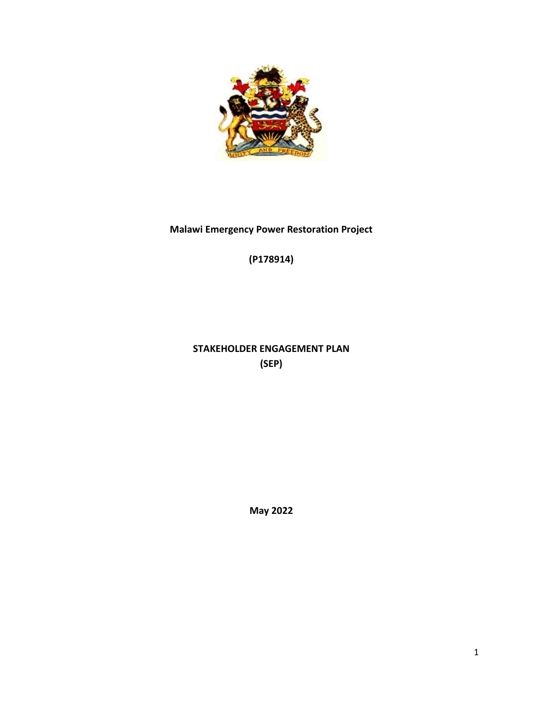

# **Malawi Emergency Power Restoration Project**

**(P178914)**

**STAKEHOLDER ENGAGEMENT PLAN (SEP)**

**May 2022**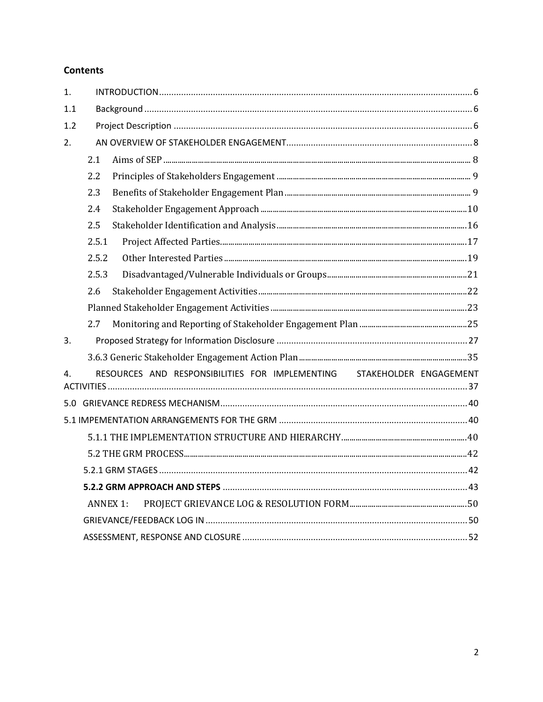# **Contents**

| $\mathbf{1}$ . |                 |                                                                        |  |
|----------------|-----------------|------------------------------------------------------------------------|--|
| 1.1            |                 |                                                                        |  |
| 1.2            |                 |                                                                        |  |
| 2.             |                 |                                                                        |  |
|                | 2.1             |                                                                        |  |
|                | 2.2             |                                                                        |  |
|                | 2.3             |                                                                        |  |
|                | 2.4             |                                                                        |  |
|                | 2.5             |                                                                        |  |
|                | 2.5.1           |                                                                        |  |
|                | 2.5.2           |                                                                        |  |
|                | 2.5.3           |                                                                        |  |
|                | 2.6             |                                                                        |  |
|                |                 |                                                                        |  |
|                | 2.7             |                                                                        |  |
| 3.             |                 |                                                                        |  |
|                |                 |                                                                        |  |
| 4.             |                 | RESOURCES AND RESPONSIBILITIES FOR IMPLEMENTING STAKEHOLDER ENGAGEMENT |  |
|                |                 |                                                                        |  |
|                |                 |                                                                        |  |
|                |                 |                                                                        |  |
|                |                 |                                                                        |  |
|                |                 |                                                                        |  |
|                |                 |                                                                        |  |
|                | <b>ANNEX 1:</b> |                                                                        |  |
|                |                 |                                                                        |  |
|                |                 |                                                                        |  |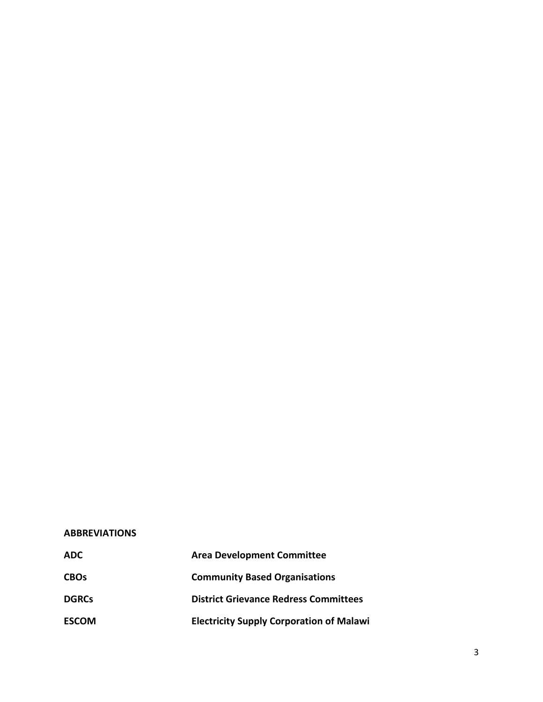#### **ABBREVIATIONS**

| <b>ADC</b>   | <b>Area Development Committee</b>               |
|--------------|-------------------------------------------------|
| <b>CBOs</b>  | <b>Community Based Organisations</b>            |
| <b>DGRCs</b> | <b>District Grievance Redress Committees</b>    |
| <b>ESCOM</b> | <b>Electricity Supply Corporation of Malawi</b> |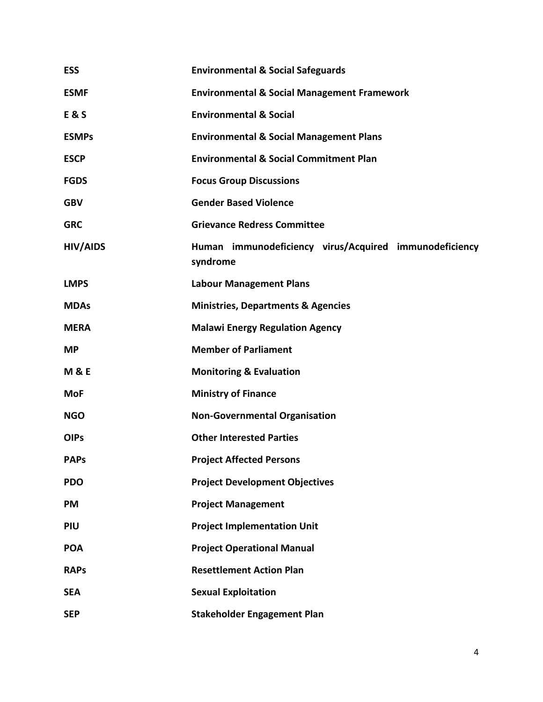| <b>ESS</b>      | <b>Environmental &amp; Social Safeguards</b>                       |  |  |  |
|-----------------|--------------------------------------------------------------------|--|--|--|
| <b>ESMF</b>     | <b>Environmental &amp; Social Management Framework</b>             |  |  |  |
| <b>E&amp;S</b>  | <b>Environmental &amp; Social</b>                                  |  |  |  |
| <b>ESMPs</b>    | <b>Environmental &amp; Social Management Plans</b>                 |  |  |  |
| <b>ESCP</b>     | <b>Environmental &amp; Social Commitment Plan</b>                  |  |  |  |
| <b>FGDS</b>     | <b>Focus Group Discussions</b>                                     |  |  |  |
| <b>GBV</b>      | <b>Gender Based Violence</b>                                       |  |  |  |
| <b>GRC</b>      | <b>Grievance Redress Committee</b>                                 |  |  |  |
| <b>HIV/AIDS</b> | Human immunodeficiency virus/Acquired immunodeficiency<br>syndrome |  |  |  |
| <b>LMPS</b>     | <b>Labour Management Plans</b>                                     |  |  |  |
| <b>MDAs</b>     | <b>Ministries, Departments &amp; Agencies</b>                      |  |  |  |
| <b>MERA</b>     | <b>Malawi Energy Regulation Agency</b>                             |  |  |  |
| <b>MP</b>       | <b>Member of Parliament</b>                                        |  |  |  |
| <b>M&amp;E</b>  | <b>Monitoring &amp; Evaluation</b>                                 |  |  |  |
| <b>MoF</b>      | <b>Ministry of Finance</b>                                         |  |  |  |
| <b>NGO</b>      | <b>Non-Governmental Organisation</b>                               |  |  |  |
| <b>OIPs</b>     | <b>Other Interested Parties</b>                                    |  |  |  |
| <b>PAPs</b>     | <b>Project Affected Persons</b>                                    |  |  |  |
| <b>PDO</b>      | <b>Project Development Objectives</b>                              |  |  |  |
| PM              | <b>Project Management</b>                                          |  |  |  |
| <b>PIU</b>      | <b>Project Implementation Unit</b>                                 |  |  |  |
| <b>POA</b>      | <b>Project Operational Manual</b>                                  |  |  |  |
| <b>RAPs</b>     | <b>Resettlement Action Plan</b>                                    |  |  |  |
| <b>SEA</b>      | <b>Sexual Exploitation</b>                                         |  |  |  |
| <b>SEP</b>      | <b>Stakeholder Engagement Plan</b>                                 |  |  |  |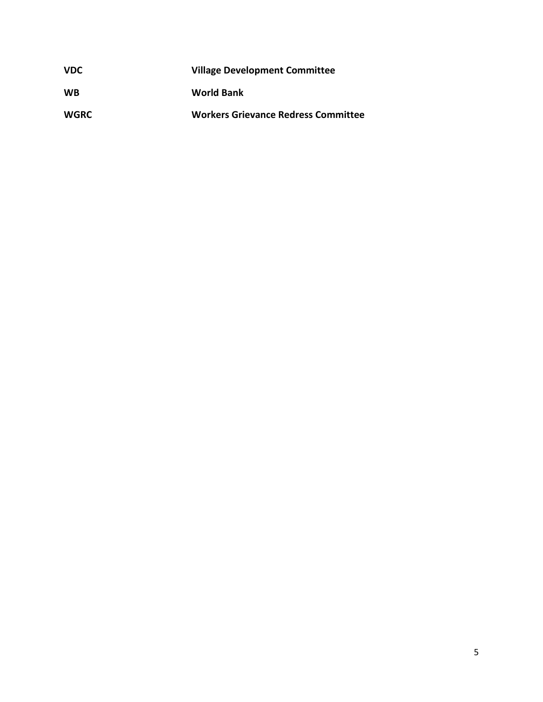| <b>VDC</b>  | <b>Village Development Committee</b> |
|-------------|--------------------------------------|
| <b>WB</b>   | <b>World Bank</b>                    |
| <b>WGRC</b> | Workers Grievance Redress Committee  |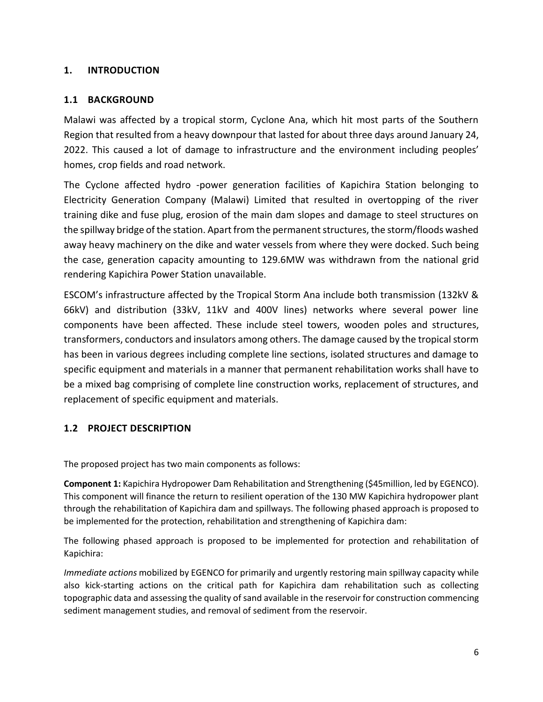# <span id="page-5-0"></span>**1. INTRODUCTION**

# <span id="page-5-1"></span>**1.1 BACKGROUND**

Malawi was affected by a tropical storm, Cyclone Ana, which hit most parts of the Southern Region that resulted from a heavy downpour that lasted for about three days around January 24, 2022. This caused a lot of damage to infrastructure and the environment including peoples' homes, crop fields and road network.

The Cyclone affected hydro -power generation facilities of Kapichira Station belonging to Electricity Generation Company (Malawi) Limited that resulted in overtopping of the river training dike and fuse plug, erosion of the main dam slopes and damage to steel structures on the spillway bridge of the station. Apart from the permanent structures, the storm/floods washed away heavy machinery on the dike and water vessels from where they were docked. Such being the case, generation capacity amounting to 129.6MW was withdrawn from the national grid rendering Kapichira Power Station unavailable.

ESCOM's infrastructure affected by the Tropical Storm Ana include both transmission (132kV & 66kV) and distribution (33kV, 11kV and 400V lines) networks where several power line components have been affected. These include steel towers, wooden poles and structures, transformers, conductors and insulators among others. The damage caused by the tropical storm has been in various degrees including complete line sections, isolated structures and damage to specific equipment and materials in a manner that permanent rehabilitation works shall have to be a mixed bag comprising of complete line construction works, replacement of structures, and replacement of specific equipment and materials.

# <span id="page-5-2"></span>**1.2 PROJECT DESCRIPTION**

The proposed project has two main components as follows:

**Component 1:** Kapichira Hydropower Dam Rehabilitation and Strengthening (\$45million, led by EGENCO). This component will finance the return to resilient operation of the 130 MW Kapichira hydropower plant through the rehabilitation of Kapichira dam and spillways. The following phased approach is proposed to be implemented for the protection, rehabilitation and strengthening of Kapichira dam:

The following phased approach is proposed to be implemented for protection and rehabilitation of Kapichira:

*Immediate actions* mobilized by EGENCO for primarily and urgently restoring main spillway capacity while also kick-starting actions on the critical path for Kapichira dam rehabilitation such as collecting topographic data and assessing the quality of sand available in the reservoir for construction commencing sediment management studies, and removal of sediment from the reservoir.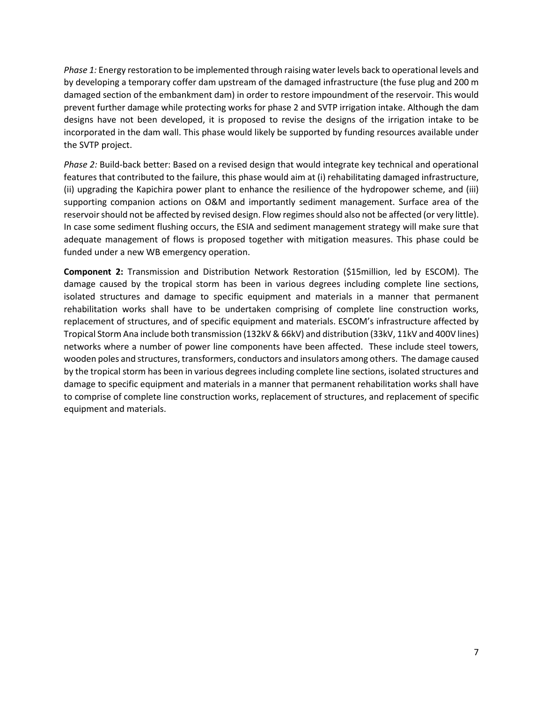*Phase 1:* Energy restoration to be implemented through raising water levels back to operational levels and by developing a temporary coffer dam upstream of the damaged infrastructure (the fuse plug and 200 m damaged section of the embankment dam) in order to restore impoundment of the reservoir. This would prevent further damage while protecting works for phase 2 and SVTP irrigation intake. Although the dam designs have not been developed, it is proposed to revise the designs of the irrigation intake to be incorporated in the dam wall. This phase would likely be supported by funding resources available under the SVTP project.

*Phase 2:* Build-back better: Based on a revised design that would integrate key technical and operational features that contributed to the failure, this phase would aim at (i) rehabilitating damaged infrastructure, (ii) upgrading the Kapichira power plant to enhance the resilience of the hydropower scheme, and (iii) supporting companion actions on O&M and importantly sediment management. Surface area of the reservoir should not be affected by revised design. Flow regimes should also not be affected (or very little). In case some sediment flushing occurs, the ESIA and sediment management strategy will make sure that adequate management of flows is proposed together with mitigation measures. This phase could be funded under a new WB emergency operation.

**Component 2:** Transmission and Distribution Network Restoration (\$15million, led by ESCOM). The damage caused by the tropical storm has been in various degrees including complete line sections, isolated structures and damage to specific equipment and materials in a manner that permanent rehabilitation works shall have to be undertaken comprising of complete line construction works, replacement of structures, and of specific equipment and materials. ESCOM's infrastructure affected by Tropical Storm Ana include both transmission (132kV & 66kV) and distribution (33kV, 11kV and 400V lines) networks where a number of power line components have been affected. These include steel towers, wooden poles and structures, transformers, conductors and insulators among others. The damage caused by the tropical storm has been in various degrees including complete line sections, isolated structures and damage to specific equipment and materials in a manner that permanent rehabilitation works shall have to comprise of complete line construction works, replacement of structures, and replacement of specific equipment and materials.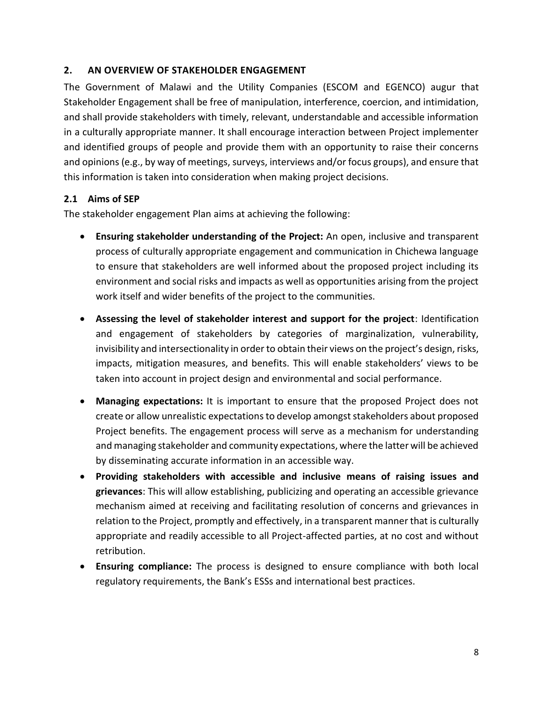# <span id="page-7-0"></span>**2. AN OVERVIEW OF STAKEHOLDER ENGAGEMENT**

The Government of Malawi and the Utility Companies (ESCOM and EGENCO) augur that Stakeholder Engagement shall be free of manipulation, interference, coercion, and intimidation, and shall provide stakeholders with timely, relevant, understandable and accessible information in a culturally appropriate manner. It shall encourage interaction between Project implementer and identified groups of people and provide them with an opportunity to raise their concerns and opinions (e.g., by way of meetings, surveys, interviews and/or focus groups), and ensure that this information is taken into consideration when making project decisions.

# <span id="page-7-1"></span>**2.1 Aims of SEP**

The stakeholder engagement Plan aims at achieving the following:

- **Ensuring stakeholder understanding of the Project:** An open, inclusive and transparent process of culturally appropriate engagement and communication in Chichewa language to ensure that stakeholders are well informed about the proposed project including its environment and social risks and impacts as well as opportunities arising from the project work itself and wider benefits of the project to the communities.
- **Assessing the level of stakeholder interest and support for the project**: Identification and engagement of stakeholders by categories of marginalization, vulnerability, invisibility and intersectionality in order to obtain their views on the project's design, risks, impacts, mitigation measures, and benefits. This will enable stakeholders' views to be taken into account in project design and environmental and social performance.
- **Managing expectations:** It is important to ensure that the proposed Project does not create or allow unrealistic expectations to develop amongst stakeholders about proposed Project benefits. The engagement process will serve as a mechanism for understanding and managing stakeholder and community expectations, where the latter will be achieved by disseminating accurate information in an accessible way.
- **Providing stakeholders with accessible and inclusive means of raising issues and grievances**: This will allow establishing, publicizing and operating an accessible grievance mechanism aimed at receiving and facilitating resolution of concerns and grievances in relation to the Project, promptly and effectively, in a transparent manner that is culturally appropriate and readily accessible to all Project-affected parties, at no cost and without retribution.
- **Ensuring compliance:** The process is designed to ensure compliance with both local regulatory requirements, the Bank's ESSs and international best practices.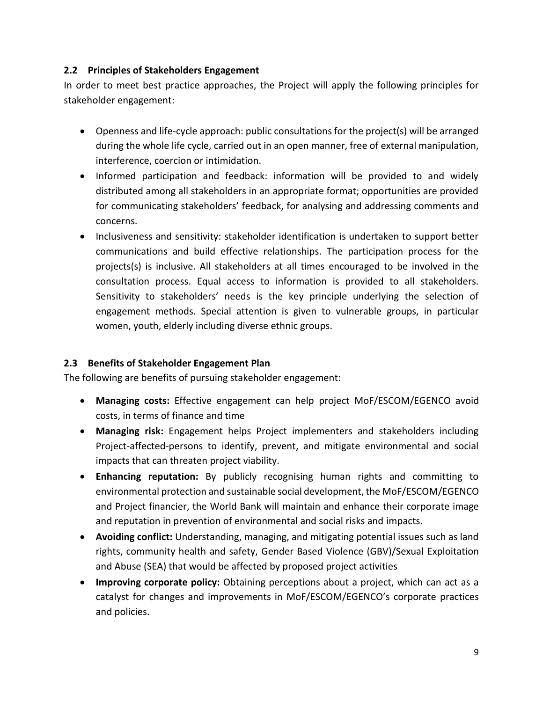# <span id="page-8-0"></span>**2.2 Principles of Stakeholders Engagement**

In order to meet best practice approaches, the Project will apply the following principles for stakeholder engagement:

- Openness and life-cycle approach: public consultations for the project(s) will be arranged during the whole life cycle, carried out in an open manner, free of external manipulation, interference, coercion or intimidation.
- Informed participation and feedback: information will be provided to and widely distributed among all stakeholders in an appropriate format; opportunities are provided for communicating stakeholders' feedback, for analysing and addressing comments and concerns.
- Inclusiveness and sensitivity: stakeholder identification is undertaken to support better communications and build effective relationships. The participation process for the projects(s) is inclusive. All stakeholders at all times encouraged to be involved in the consultation process. Equal access to information is provided to all stakeholders. Sensitivity to stakeholders' needs is the key principle underlying the selection of engagement methods. Special attention is given to vulnerable groups, in particular women, youth, elderly including diverse ethnic groups.

# <span id="page-8-1"></span>**2.3 Benefits of Stakeholder Engagement Plan**

The following are benefits of pursuing stakeholder engagement:

- **Managing costs:** Effective engagement can help project MoF/ESCOM/EGENCO avoid costs, in terms of finance and time
- **Managing risk:** Engagement helps Project implementers and stakeholders including Project-affected-persons to identify, prevent, and mitigate environmental and social impacts that can threaten project viability.
- **Enhancing reputation:** By publicly recognising human rights and committing to environmental protection and sustainable social development, the MoF/ESCOM/EGENCO and Project financier, the World Bank will maintain and enhance their corporate image and reputation in prevention of environmental and social risks and impacts.
- **Avoiding conflict:** Understanding, managing, and mitigating potential issues such as land rights, community health and safety, Gender Based Violence (GBV)/Sexual Exploitation and Abuse (SEA) that would be affected by proposed project activities
- **Improving corporate policy:** Obtaining perceptions about a project, which can act as a catalyst for changes and improvements in MoF/ESCOM/EGENCO's corporate practices and policies.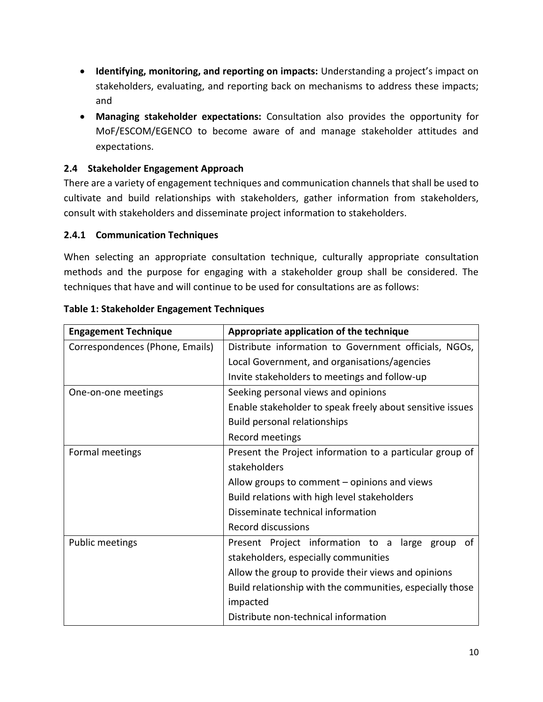- **Identifying, monitoring, and reporting on impacts:** Understanding a project's impact on stakeholders, evaluating, and reporting back on mechanisms to address these impacts; and
- **Managing stakeholder expectations:** Consultation also provides the opportunity for MoF/ESCOM/EGENCO to become aware of and manage stakeholder attitudes and expectations.

# <span id="page-9-0"></span>**2.4 Stakeholder Engagement Approach**

There are a variety of engagement techniques and communication channels that shall be used to cultivate and build relationships with stakeholders, gather information from stakeholders, consult with stakeholders and disseminate project information to stakeholders.

## **2.4.1 Communication Techniques**

When selecting an appropriate consultation technique, culturally appropriate consultation methods and the purpose for engaging with a stakeholder group shall be considered. The techniques that have and will continue to be used for consultations are as follows:

| <b>Engagement Technique</b>     | Appropriate application of the technique                  |  |  |
|---------------------------------|-----------------------------------------------------------|--|--|
| Correspondences (Phone, Emails) | Distribute information to Government officials, NGOs,     |  |  |
|                                 | Local Government, and organisations/agencies              |  |  |
|                                 | Invite stakeholders to meetings and follow-up             |  |  |
| One-on-one meetings             | Seeking personal views and opinions                       |  |  |
|                                 | Enable stakeholder to speak freely about sensitive issues |  |  |
|                                 | <b>Build personal relationships</b>                       |  |  |
|                                 | Record meetings                                           |  |  |
| Formal meetings                 | Present the Project information to a particular group of  |  |  |
|                                 | stakeholders                                              |  |  |
|                                 | Allow groups to comment – opinions and views              |  |  |
|                                 | Build relations with high level stakeholders              |  |  |
|                                 | Disseminate technical information                         |  |  |
|                                 | <b>Record discussions</b>                                 |  |  |
| <b>Public meetings</b>          | Present Project information to a large<br>group of        |  |  |
|                                 | stakeholders, especially communities                      |  |  |
|                                 | Allow the group to provide their views and opinions       |  |  |
|                                 | Build relationship with the communities, especially those |  |  |
|                                 | impacted                                                  |  |  |
|                                 | Distribute non-technical information                      |  |  |

## **Table 1: Stakeholder Engagement Techniques**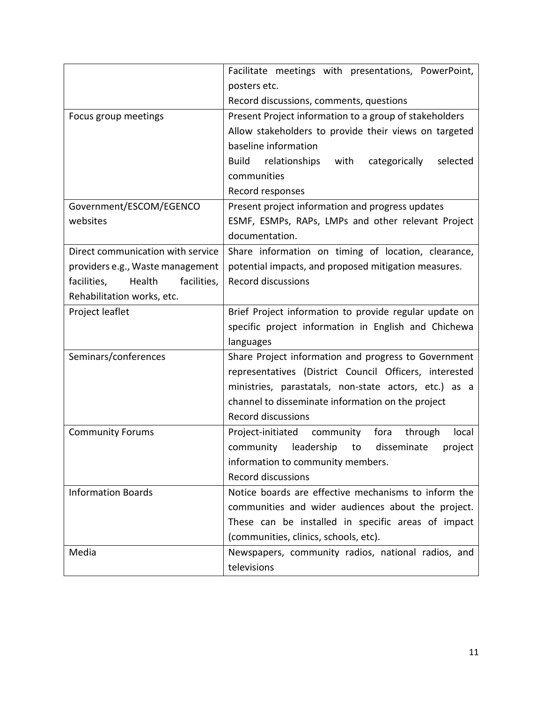|                                      | Facilitate meetings with presentations, PowerPoint,             |  |  |
|--------------------------------------|-----------------------------------------------------------------|--|--|
|                                      | posters etc.                                                    |  |  |
|                                      | Record discussions, comments, questions                         |  |  |
| Focus group meetings                 | Present Project information to a group of stakeholders          |  |  |
|                                      | Allow stakeholders to provide their views on targeted           |  |  |
|                                      | baseline information                                            |  |  |
|                                      | relationships with<br><b>Build</b><br>categorically<br>selected |  |  |
|                                      | communities                                                     |  |  |
|                                      | Record responses                                                |  |  |
| Government/ESCOM/EGENCO              | Present project information and progress updates                |  |  |
| websites                             | ESMF, ESMPs, RAPs, LMPs and other relevant Project              |  |  |
|                                      | documentation.                                                  |  |  |
| Direct communication with service    | Share information on timing of location, clearance,             |  |  |
| providers e.g., Waste management     | potential impacts, and proposed mitigation measures.            |  |  |
| facilities,<br>facilities,<br>Health | <b>Record discussions</b>                                       |  |  |
| Rehabilitation works, etc.           |                                                                 |  |  |
| Project leaflet                      | Brief Project information to provide regular update on          |  |  |
|                                      | specific project information in English and Chichewa            |  |  |
|                                      | languages                                                       |  |  |
| Seminars/conferences                 | Share Project information and progress to Government            |  |  |
|                                      | representatives (District Council Officers, interested          |  |  |
|                                      | ministries, parastatals, non-state actors, etc.) as a           |  |  |
|                                      | channel to disseminate information on the project               |  |  |
|                                      | <b>Record discussions</b>                                       |  |  |
| <b>Community Forums</b>              | Project-initiated community<br>fora<br>through<br>local         |  |  |
|                                      | community<br>leadership<br>to<br>disseminate<br>project         |  |  |
|                                      | information to community members.                               |  |  |
|                                      | <b>Record discussions</b>                                       |  |  |
| <b>Information Boards</b>            | Notice boards are effective mechanisms to inform the            |  |  |
|                                      | communities and wider audiences about the project.              |  |  |
|                                      | These can be installed in specific areas of impact              |  |  |
|                                      | (communities, clinics, schools, etc).                           |  |  |
| Media                                | Newspapers, community radios, national radios, and              |  |  |
|                                      | televisions                                                     |  |  |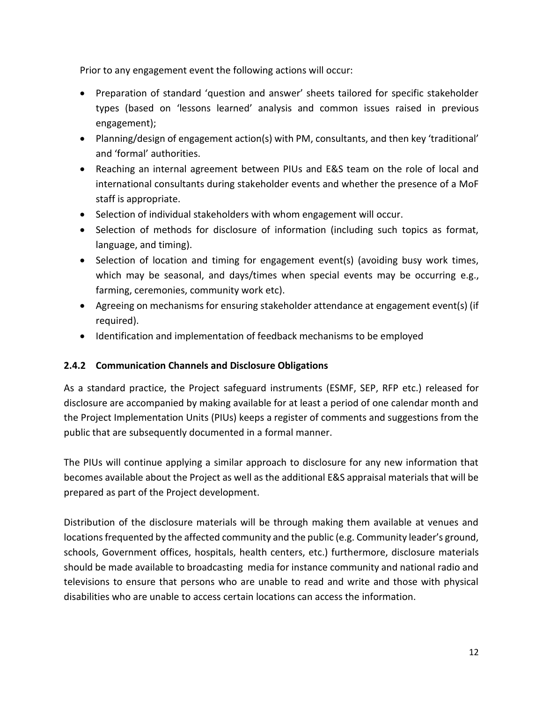Prior to any engagement event the following actions will occur:

- Preparation of standard 'question and answer' sheets tailored for specific stakeholder types (based on 'lessons learned' analysis and common issues raised in previous engagement);
- Planning/design of engagement action(s) with PM, consultants, and then key 'traditional' and 'formal' authorities.
- Reaching an internal agreement between PIUs and E&S team on the role of local and international consultants during stakeholder events and whether the presence of a MoF staff is appropriate.
- Selection of individual stakeholders with whom engagement will occur.
- Selection of methods for disclosure of information (including such topics as format, language, and timing).
- Selection of location and timing for engagement event(s) (avoiding busy work times, which may be seasonal, and days/times when special events may be occurring e.g., farming, ceremonies, community work etc).
- Agreeing on mechanisms for ensuring stakeholder attendance at engagement event(s) (if required).
- Identification and implementation of feedback mechanisms to be employed

# **2.4.2 Communication Channels and Disclosure Obligations**

As a standard practice, the Project safeguard instruments (ESMF, SEP, RFP etc.) released for disclosure are accompanied by making available for at least a period of one calendar month and the Project Implementation Units (PIUs) keeps a register of comments and suggestions from the public that are subsequently documented in a formal manner.

The PIUs will continue applying a similar approach to disclosure for any new information that becomes available about the Project as well as the additional E&S appraisal materials that will be prepared as part of the Project development.

Distribution of the disclosure materials will be through making them available at venues and locations frequented by the affected community and the public (e.g. Community leader's ground, schools, Government offices, hospitals, health centers, etc.) furthermore, disclosure materials should be made available to broadcasting media for instance community and national radio and televisions to ensure that persons who are unable to read and write and those with physical disabilities who are unable to access certain locations can access the information.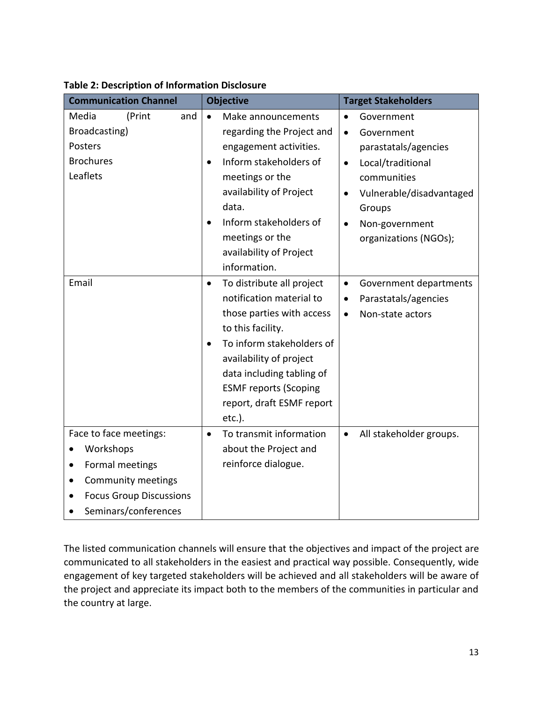| <b>Communication Channel</b>                                                                                                                                     | <b>Objective</b>                                                                                                                                                                                                                                                                 | <b>Target Stakeholders</b>                                                                                                                                                                                                |
|------------------------------------------------------------------------------------------------------------------------------------------------------------------|----------------------------------------------------------------------------------------------------------------------------------------------------------------------------------------------------------------------------------------------------------------------------------|---------------------------------------------------------------------------------------------------------------------------------------------------------------------------------------------------------------------------|
| Media<br>(Print<br>and<br>Broadcasting)<br>Posters<br><b>Brochures</b><br>Leaflets                                                                               | Make announcements<br>$\bullet$<br>regarding the Project and<br>engagement activities.<br>Inform stakeholders of<br>meetings or the<br>availability of Project<br>data.<br>Inform stakeholders of<br>٠<br>meetings or the<br>availability of Project<br>information.             | Government<br>$\bullet$<br>Government<br>$\bullet$<br>parastatals/agencies<br>Local/traditional<br>$\bullet$<br>communities<br>Vulnerable/disadvantaged<br>$\bullet$<br>Groups<br>Non-government<br>organizations (NGOs); |
| Email                                                                                                                                                            | To distribute all project<br>$\bullet$<br>notification material to<br>those parties with access<br>to this facility.<br>To inform stakeholders of<br>availability of project<br>data including tabling of<br><b>ESMF reports (Scoping</b><br>report, draft ESMF report<br>etc.). | Government departments<br>$\bullet$<br>Parastatals/agencies<br>$\bullet$<br>Non-state actors<br>$\bullet$                                                                                                                 |
| Face to face meetings:<br>Workshops<br>$\bullet$<br>Formal meetings<br>$\bullet$<br>Community meetings<br><b>Focus Group Discussions</b><br>Seminars/conferences | To transmit information<br>$\bullet$<br>about the Project and<br>reinforce dialogue.                                                                                                                                                                                             | All stakeholder groups.<br>$\bullet$                                                                                                                                                                                      |

**Table 2: Description of Information Disclosure** 

The listed communication channels will ensure that the objectives and impact of the project are communicated to all stakeholders in the easiest and practical way possible. Consequently, wide engagement of key targeted stakeholders will be achieved and all stakeholders will be aware of the project and appreciate its impact both to the members of the communities in particular and the country at large.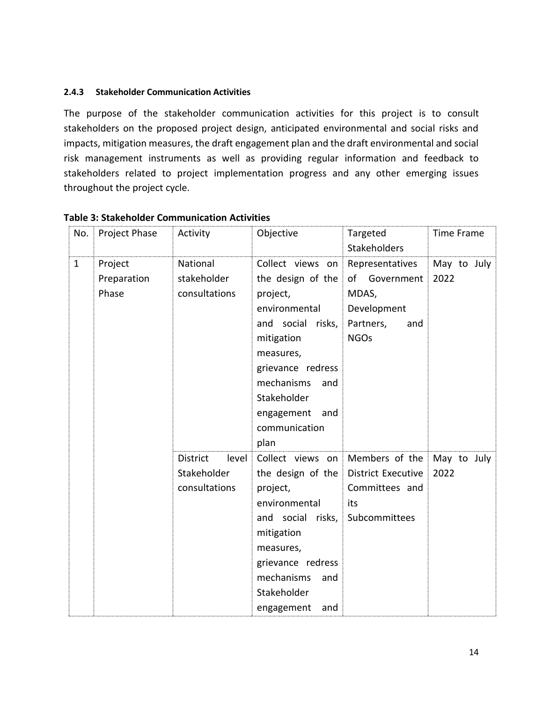#### **2.4.3 Stakeholder Communication Activities**

The purpose of the stakeholder communication activities for this project is to consult stakeholders on the proposed project design, anticipated environmental and social risks and impacts, mitigation measures, the draft engagement plan and the draft environmental and social risk management instruments as well as providing regular information and feedback to stakeholders related to project implementation progress and any other emerging issues throughout the project cycle.

| No.          | Project Phase                   | Activity                                                 | Objective                                                                                                                                                                                                                 | Targeted<br><b>Stakeholders</b>                                                             | <b>Time Frame</b>   |
|--------------|---------------------------------|----------------------------------------------------------|---------------------------------------------------------------------------------------------------------------------------------------------------------------------------------------------------------------------------|---------------------------------------------------------------------------------------------|---------------------|
| $\mathbf{1}$ | Project<br>Preparation<br>Phase | National<br>stakeholder<br>consultations                 | Collect views on<br>the design of the<br>project,<br>environmental<br>and social risks,<br>mitigation<br>measures,<br>grievance redress<br>mechanisms<br>and<br>Stakeholder<br>engagement<br>and<br>communication<br>plan | Representatives<br>of Government<br>MDAS,<br>Development<br>Partners,<br>and<br><b>NGOs</b> | May to July<br>2022 |
|              |                                 | <b>District</b><br>level<br>Stakeholder<br>consultations | Collect views on<br>the design of the<br>project,<br>environmental<br>and social risks,<br>mitigation<br>measures,<br>grievance redress<br>mechanisms<br>and<br>Stakeholder<br>engagement<br>and                          | Members of the<br><b>District Executive</b><br>Committees and<br>its<br>Subcommittees       | May to July<br>2022 |

#### **Table 3: Stakeholder Communication Activities**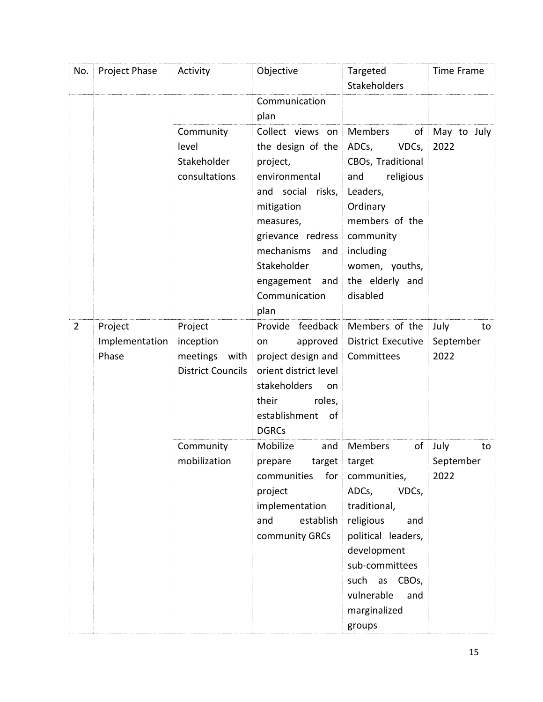| No.            | Project Phase  | Activity                 | Objective                          | Targeted<br><b>Stakeholders</b> | Time Frame  |
|----------------|----------------|--------------------------|------------------------------------|---------------------------------|-------------|
|                |                |                          | Communication<br>plan              |                                 |             |
|                |                | Community                | Collect views on                   | Members<br>of                   | May to July |
|                |                | level                    | the design of the                  | ADCs,<br>VDCs,                  | 2022        |
|                |                | Stakeholder              | project,                           | CBOs, Traditional               |             |
|                |                | consultations            | environmental                      | and<br>religious                |             |
|                |                |                          | and social risks,                  | Leaders,                        |             |
|                |                |                          | mitigation                         | Ordinary                        |             |
|                |                |                          | measures,                          | members of the                  |             |
|                |                |                          | grievance redress                  | community                       |             |
|                |                |                          | mechanisms<br>and                  | including                       |             |
|                |                |                          | Stakeholder                        | women, youths,                  |             |
|                |                |                          | engagement<br>and<br>Communication | the elderly and<br>disabled     |             |
|                |                |                          | plan                               |                                 |             |
| $\overline{2}$ | Project        | Project                  | Provide feedback                   | Members of the                  | July<br>to  |
|                | Implementation | inception                | approved<br>on                     | <b>District Executive</b>       | September   |
|                | Phase          | meetings<br>with         | project design and                 | Committees                      | 2022        |
|                |                | <b>District Councils</b> | orient district level              |                                 |             |
|                |                |                          | stakeholders<br>on                 |                                 |             |
|                |                |                          | roles,<br>their                    |                                 |             |
|                |                |                          | establishment<br>0f                |                                 |             |
|                |                |                          | <b>DGRCs</b>                       |                                 |             |
|                |                | Community                | Mobilize<br>and                    | Members<br>of                   | July<br>to  |
|                |                | mobilization             | target<br>prepare                  | target                          | September   |
|                |                |                          | for<br>communities                 | communities,<br>VDCs,<br>ADCs,  | 2022        |
|                |                |                          | project<br>implementation          | traditional,                    |             |
|                |                |                          | establish<br>and                   | religious<br>and                |             |
|                |                |                          | community GRCs                     | political leaders,              |             |
|                |                |                          |                                    | development                     |             |
|                |                |                          |                                    | sub-committees                  |             |
|                |                |                          |                                    | such as<br>CBO <sub>s</sub>     |             |
|                |                |                          |                                    | vulnerable<br>and               |             |
|                |                |                          |                                    | marginalized                    |             |
|                |                |                          |                                    | groups                          |             |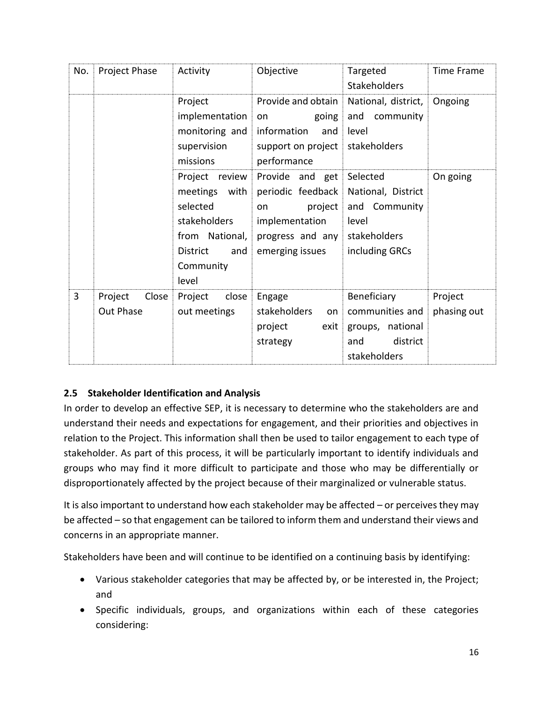| No. | Project Phase                 | Activity                                                                                                                         | Objective                                                                                                         | Targeted<br><b>Stakeholders</b>                                                            | <b>Time Frame</b>      |
|-----|-------------------------------|----------------------------------------------------------------------------------------------------------------------------------|-------------------------------------------------------------------------------------------------------------------|--------------------------------------------------------------------------------------------|------------------------|
|     |                               | Project<br>implementation<br>monitoring and<br>supervision<br>missions                                                           | Provide and obtain<br>going<br>on<br>information<br>and<br>support on project<br>performance                      | National, district,<br>and<br>community<br>level<br>stakeholders                           | Ongoing                |
|     |                               | Project<br>review<br>meetings with<br>selected<br>stakeholders<br>from National,<br><b>District</b><br>and<br>Community<br>level | Provide and<br>get<br>periodic feedback<br>project<br>on<br>implementation<br>progress and any<br>emerging issues | Selected<br>National, District<br>and Community<br>level<br>stakeholders<br>including GRCs | On going               |
| 3   | Close<br>Project<br>Out Phase | Project<br>close<br>out meetings                                                                                                 | Engage<br>stakeholders<br>on<br>project<br>exit<br>strategy                                                       | Beneficiary<br>communities and<br>groups, national<br>district<br>and<br>stakeholders      | Project<br>phasing out |

# <span id="page-15-0"></span>**2.5 Stakeholder Identification and Analysis**

In order to develop an effective SEP, it is necessary to determine who the stakeholders are and understand their needs and expectations for engagement, and their priorities and objectives in relation to the Project. This information shall then be used to tailor engagement to each type of stakeholder. As part of this process, it will be particularly important to identify individuals and groups who may find it more difficult to participate and those who may be differentially or disproportionately affected by the project because of their marginalized or vulnerable status.

It is also important to understand how each stakeholder may be affected – or perceives they may be affected – so that engagement can be tailored to inform them and understand their views and concerns in an appropriate manner.

Stakeholders have been and will continue to be identified on a continuing basis by identifying:

- Various stakeholder categories that may be affected by, or be interested in, the Project; and
- Specific individuals, groups, and organizations within each of these categories considering: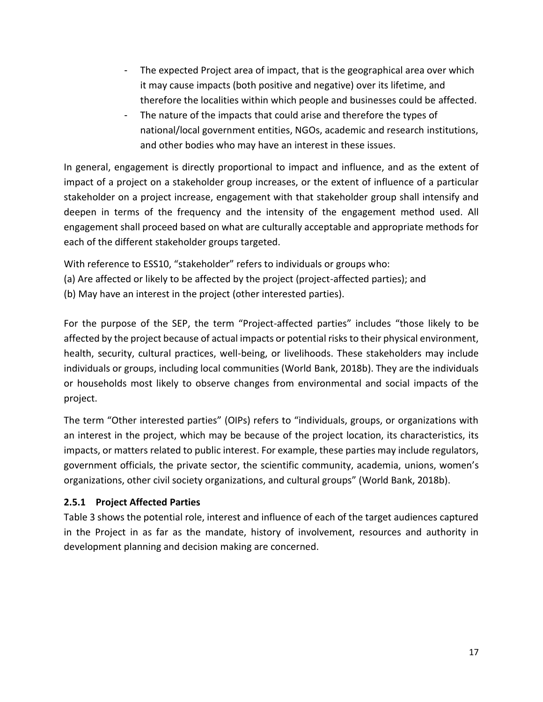- The expected Project area of impact, that is the geographical area over which it may cause impacts (both positive and negative) over its lifetime, and therefore the localities within which people and businesses could be affected.
- The nature of the impacts that could arise and therefore the types of national/local government entities, NGOs, academic and research institutions, and other bodies who may have an interest in these issues.

In general, engagement is directly proportional to impact and influence, and as the extent of impact of a project on a stakeholder group increases, or the extent of influence of a particular stakeholder on a project increase, engagement with that stakeholder group shall intensify and deepen in terms of the frequency and the intensity of the engagement method used. All engagement shall proceed based on what are culturally acceptable and appropriate methods for each of the different stakeholder groups targeted.

With reference to ESS10, "stakeholder" refers to individuals or groups who:

- (a) Are affected or likely to be affected by the project (project-affected parties); and
- (b) May have an interest in the project (other interested parties).

For the purpose of the SEP, the term "Project-affected parties" includes "those likely to be affected by the project because of actual impacts or potential risks to their physical environment, health, security, cultural practices, well-being, or livelihoods. These stakeholders may include individuals or groups, including local communities (World Bank, 2018b). They are the individuals or households most likely to observe changes from environmental and social impacts of the project.

The term "Other interested parties" (OIPs) refers to "individuals, groups, or organizations with an interest in the project, which may be because of the project location, its characteristics, its impacts, or matters related to public interest. For example, these parties may include regulators, government officials, the private sector, the scientific community, academia, unions, women's organizations, other civil society organizations, and cultural groups" (World Bank, 2018b).

# <span id="page-16-0"></span>**2.5.1 Project Affected Parties**

Table 3 shows the potential role, interest and influence of each of the target audiences captured in the Project in as far as the mandate, history of involvement, resources and authority in development planning and decision making are concerned.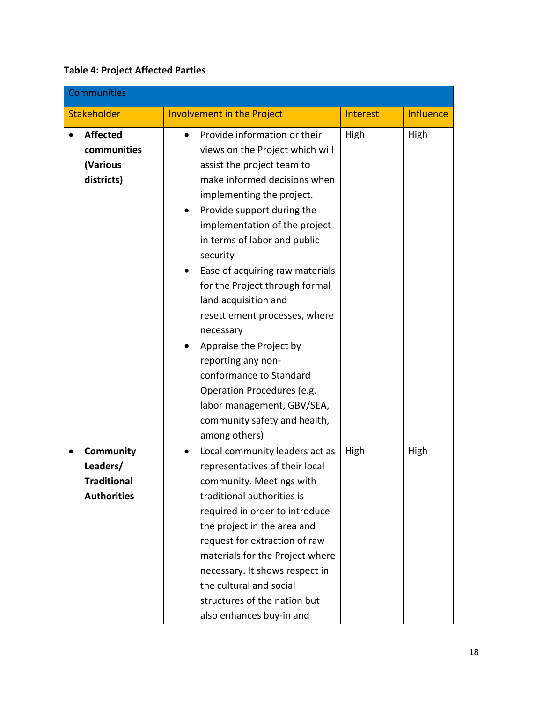# **Table 4: Project Affected Parties**

| <b>Communities</b>                                                |                                                                                                                                                                                                                                                                                                                                                                                                                                                                                                                                                                                                                        |                 |                  |  |  |
|-------------------------------------------------------------------|------------------------------------------------------------------------------------------------------------------------------------------------------------------------------------------------------------------------------------------------------------------------------------------------------------------------------------------------------------------------------------------------------------------------------------------------------------------------------------------------------------------------------------------------------------------------------------------------------------------------|-----------------|------------------|--|--|
| Stakeholder                                                       | <b>Involvement in the Project</b>                                                                                                                                                                                                                                                                                                                                                                                                                                                                                                                                                                                      | <b>Interest</b> | <b>Influence</b> |  |  |
| <b>Affected</b><br>communities<br>(Various<br>districts)          | Provide information or their<br>views on the Project which will<br>assist the project team to<br>make informed decisions when<br>implementing the project.<br>Provide support during the<br>implementation of the project<br>in terms of labor and public<br>security<br>Ease of acquiring raw materials<br>$\bullet$<br>for the Project through formal<br>land acquisition and<br>resettlement processes, where<br>necessary<br>Appraise the Project by<br>reporting any non-<br>conformance to Standard<br>Operation Procedures (e.g.<br>labor management, GBV/SEA,<br>community safety and health,<br>among others) | High            | High             |  |  |
| Community<br>Leaders/<br><b>Traditional</b><br><b>Authorities</b> | Local community leaders act as<br>$\bullet$<br>representatives of their local<br>community. Meetings with<br>traditional authorities is<br>required in order to introduce<br>the project in the area and<br>request for extraction of raw<br>materials for the Project where<br>necessary. It shows respect in<br>the cultural and social<br>structures of the nation but<br>also enhances buy-in and                                                                                                                                                                                                                  | High            | High             |  |  |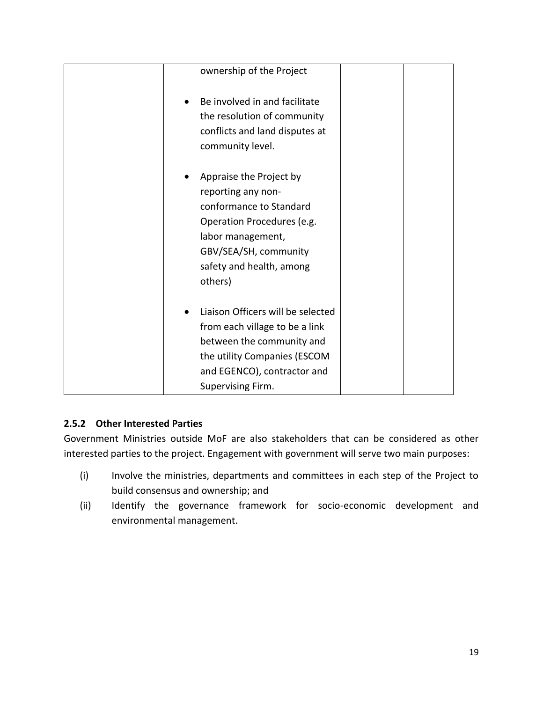| ownership of the Project                                                                                                                                                                    |  |
|---------------------------------------------------------------------------------------------------------------------------------------------------------------------------------------------|--|
| Be involved in and facilitate<br>the resolution of community<br>conflicts and land disputes at<br>community level.                                                                          |  |
| Appraise the Project by<br>reporting any non-<br>conformance to Standard<br>Operation Procedures (e.g.<br>labor management,<br>GBV/SEA/SH, community<br>safety and health, among<br>others) |  |
| Liaison Officers will be selected<br>from each village to be a link<br>between the community and<br>the utility Companies (ESCOM<br>and EGENCO), contractor and<br>Supervising Firm.        |  |

# <span id="page-18-0"></span>**2.5.2 Other Interested Parties**

Government Ministries outside MoF are also stakeholders that can be considered as other interested parties to the project. Engagement with government will serve two main purposes:

- (i) Involve the ministries, departments and committees in each step of the Project to build consensus and ownership; and
- (ii) Identify the governance framework for socio-economic development and environmental management.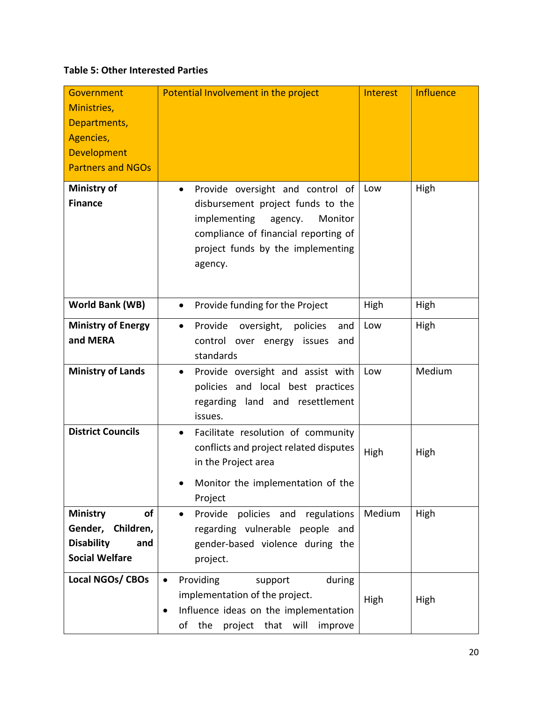# **Table 5: Other Interested Parties**

| Government                                                                | Potential Involvement in the project                                                                                                                                                                             | Interest | <b>Influence</b> |
|---------------------------------------------------------------------------|------------------------------------------------------------------------------------------------------------------------------------------------------------------------------------------------------------------|----------|------------------|
| Ministries,                                                               |                                                                                                                                                                                                                  |          |                  |
| Departments,                                                              |                                                                                                                                                                                                                  |          |                  |
| Agencies,                                                                 |                                                                                                                                                                                                                  |          |                  |
| <b>Development</b>                                                        |                                                                                                                                                                                                                  |          |                  |
| <b>Partners and NGOs</b>                                                  |                                                                                                                                                                                                                  |          |                  |
| Ministry of<br><b>Finance</b>                                             | Provide oversight and control of<br>$\bullet$<br>disbursement project funds to the<br>implementing<br>Monitor<br>agency.<br>compliance of financial reporting of<br>project funds by the implementing<br>agency. | Low      | High             |
| World Bank (WB)                                                           | Provide funding for the Project<br>$\bullet$                                                                                                                                                                     | High     | High             |
| <b>Ministry of Energy</b><br>and MERA                                     | Provide<br>oversight, policies<br>and<br>$\bullet$<br>control over energy issues<br>and<br>standards                                                                                                             | Low      | High             |
| <b>Ministry of Lands</b>                                                  | Provide oversight and assist with<br>$\bullet$<br>policies and local best practices<br>regarding land and resettlement<br>issues.                                                                                | Low      | Medium           |
| <b>District Councils</b>                                                  | Facilitate resolution of community<br>$\bullet$<br>conflicts and project related disputes<br>in the Project area<br>Monitor the implementation of the                                                            | High     | High             |
| <b>Ministry</b><br>of                                                     | Project<br>policies and regulations<br>Provide<br>$\bullet$                                                                                                                                                      | Medium   | High             |
| Gender,<br>Children,<br><b>Disability</b><br>and<br><b>Social Welfare</b> | regarding vulnerable people and<br>gender-based violence during the<br>project.                                                                                                                                  |          |                  |
| Local NGOs/ CBOs                                                          | Providing<br>during<br>support<br>$\bullet$<br>implementation of the project.<br>Influence ideas on the implementation<br>$\bullet$<br>of<br>project that will<br>the<br>improve                                 | High     | High             |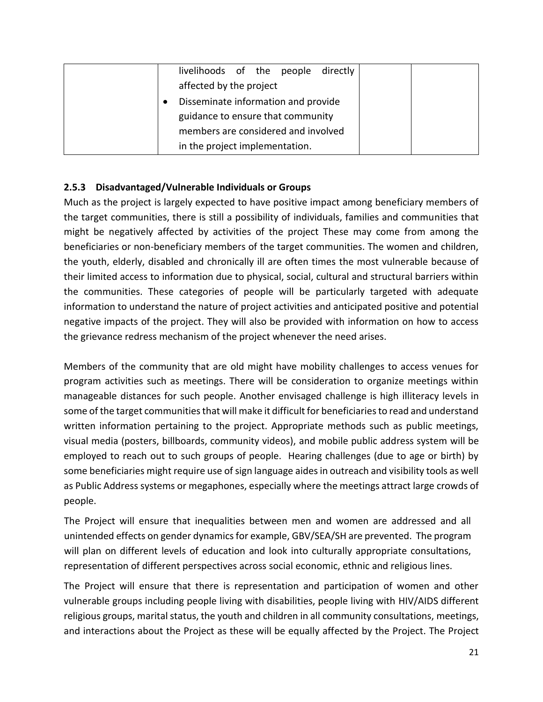| livelihoods of the people directly  |
|-------------------------------------|
| affected by the project             |
| Disseminate information and provide |
| guidance to ensure that community   |
| members are considered and involved |
| in the project implementation.      |

# <span id="page-20-0"></span>**2.5.3 Disadvantaged/Vulnerable Individuals or Groups**

Much as the project is largely expected to have positive impact among beneficiary members of the target communities, there is still a possibility of individuals, families and communities that might be negatively affected by activities of the project These may come from among the beneficiaries or non-beneficiary members of the target communities. The women and children, the youth, elderly, disabled and chronically ill are often times the most vulnerable because of their limited access to information due to physical, social, cultural and structural barriers within the communities. These categories of people will be particularly targeted with adequate information to understand the nature of project activities and anticipated positive and potential negative impacts of the project. They will also be provided with information on how to access the grievance redress mechanism of the project whenever the need arises.

Members of the community that are old might have mobility challenges to access venues for program activities such as meetings. There will be consideration to organize meetings within manageable distances for such people. Another envisaged challenge is high illiteracy levels in some of the target communities that will make it difficult for beneficiaries to read and understand written information pertaining to the project. Appropriate methods such as public meetings, visual media (posters, billboards, community videos), and mobile public address system will be employed to reach out to such groups of people. Hearing challenges (due to age or birth) by some beneficiaries might require use of sign language aides in outreach and visibility tools as well as Public Address systems or megaphones, especially where the meetings attract large crowds of people.

The Project will ensure that inequalities between men and women are addressed and all unintended effects on gender dynamics for example, GBV/SEA/SH are prevented. The program will plan on different levels of education and look into culturally appropriate consultations, representation of different perspectives across social economic, ethnic and religious lines.

The Project will ensure that there is representation and participation of women and other vulnerable groups including people living with disabilities, people living with HIV/AIDS different religious groups, marital status, the youth and children in all community consultations, meetings, and interactions about the Project as these will be equally affected by the Project. The Project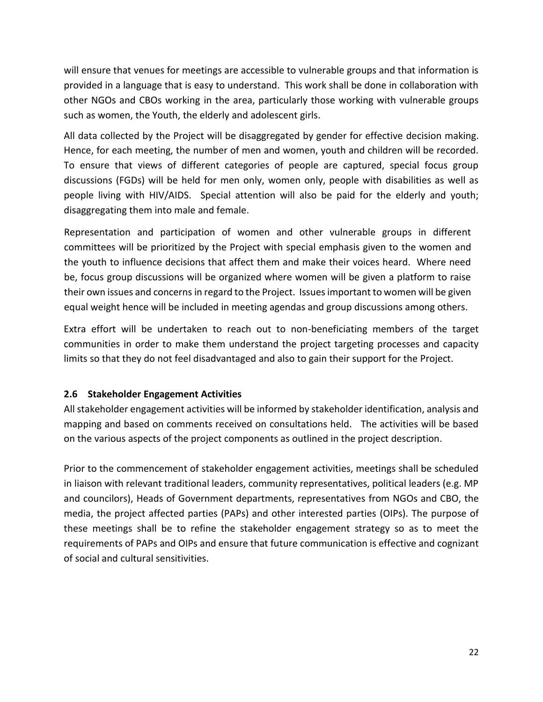will ensure that venues for meetings are accessible to vulnerable groups and that information is provided in a language that is easy to understand. This work shall be done in collaboration with other NGOs and CBOs working in the area, particularly those working with vulnerable groups such as women, the Youth, the elderly and adolescent girls.

All data collected by the Project will be disaggregated by gender for effective decision making. Hence, for each meeting, the number of men and women, youth and children will be recorded. To ensure that views of different categories of people are captured, special focus group discussions (FGDs) will be held for men only, women only, people with disabilities as well as people living with HIV/AIDS. Special attention will also be paid for the elderly and youth; disaggregating them into male and female.

Representation and participation of women and other vulnerable groups in different committees will be prioritized by the Project with special emphasis given to the women and the youth to influence decisions that affect them and make their voices heard. Where need be, focus group discussions will be organized where women will be given a platform to raise their own issues and concerns in regard to the Project. Issues important to women will be given equal weight hence will be included in meeting agendas and group discussions among others.

Extra effort will be undertaken to reach out to non-beneficiating members of the target communities in order to make them understand the project targeting processes and capacity limits so that they do not feel disadvantaged and also to gain their support for the Project.

# <span id="page-21-0"></span>**2.6 Stakeholder Engagement Activities**

All stakeholder engagement activities will be informed by stakeholder identification, analysis and mapping and based on comments received on consultations held. The activities will be based on the various aspects of the project components as outlined in the project description.

Prior to the commencement of stakeholder engagement activities, meetings shall be scheduled in liaison with relevant traditional leaders, community representatives, political leaders (e.g. MP and councilors), Heads of Government departments, representatives from NGOs and CBO, the media, the project affected parties (PAPs) and other interested parties (OIPs). The purpose of these meetings shall be to refine the stakeholder engagement strategy so as to meet the requirements of PAPs and OIPs and ensure that future communication is effective and cognizant of social and cultural sensitivities.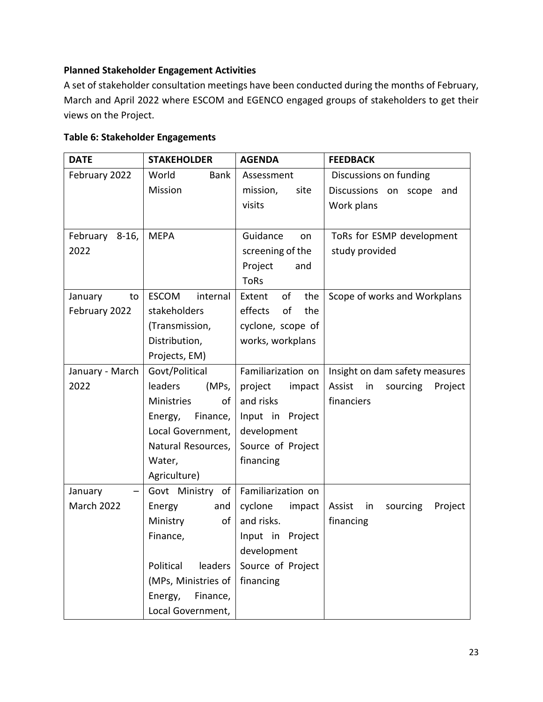# <span id="page-22-0"></span>**Planned Stakeholder Engagement Activities**

A set of stakeholder consultation meetings have been conducted during the months of February, March and April 2022 where ESCOM and EGENCO engaged groups of stakeholders to get their views on the Project.

|  |  |  |  | <b>Table 6: Stakeholder Engagements</b> |
|--|--|--|--|-----------------------------------------|
|--|--|--|--|-----------------------------------------|

| <b>DATE</b>     | <b>STAKEHOLDER</b>       | <b>AGENDA</b>        | <b>FEEDBACK</b>                     |
|-----------------|--------------------------|----------------------|-------------------------------------|
| February 2022   | World<br><b>Bank</b>     | Assessment           | Discussions on funding              |
|                 | Mission                  | mission,<br>site     | Discussions on scope<br>and         |
|                 |                          | visits               | Work plans                          |
|                 |                          |                      |                                     |
| February 8-16,  | <b>MEPA</b>              | Guidance<br>on       | ToRs for ESMP development           |
| 2022            |                          | screening of the     | study provided                      |
|                 |                          | Project<br>and       |                                     |
|                 |                          | <b>ToRs</b>          |                                     |
| to<br>January   | <b>ESCOM</b><br>internal | of<br>the<br>Extent  | Scope of works and Workplans        |
| February 2022   | stakeholders             | the<br>effects<br>of |                                     |
|                 | (Transmission,           | cyclone, scope of    |                                     |
|                 | Distribution,            | works, workplans     |                                     |
|                 | Projects, EM)            |                      |                                     |
| January - March | Govt/Political           | Familiarization on   | Insight on dam safety measures      |
| 2022            | leaders<br>(MPs,         | project<br>impact    | Assist<br>in<br>sourcing<br>Project |
|                 | <b>Ministries</b><br>οf  | and risks            | financiers                          |
|                 | Energy,<br>Finance,      | Input in Project     |                                     |
|                 | Local Government,        | development          |                                     |
|                 | Natural Resources,       | Source of Project    |                                     |
|                 | Water,                   | financing            |                                     |
|                 | Agriculture)             |                      |                                     |
| January         | Govt Ministry of         | Familiarization on   |                                     |
| March 2022      | Energy<br>and            | cyclone<br>impact    | Assist<br>Project<br>in<br>sourcing |
|                 | Ministry<br>of           | and risks.           | financing                           |
|                 | Finance,                 | Input in Project     |                                     |
|                 |                          | development          |                                     |
|                 | Political<br>leaders     | Source of Project    |                                     |
|                 | (MPs, Ministries of      | financing            |                                     |
|                 | Energy,<br>Finance,      |                      |                                     |
|                 | Local Government,        |                      |                                     |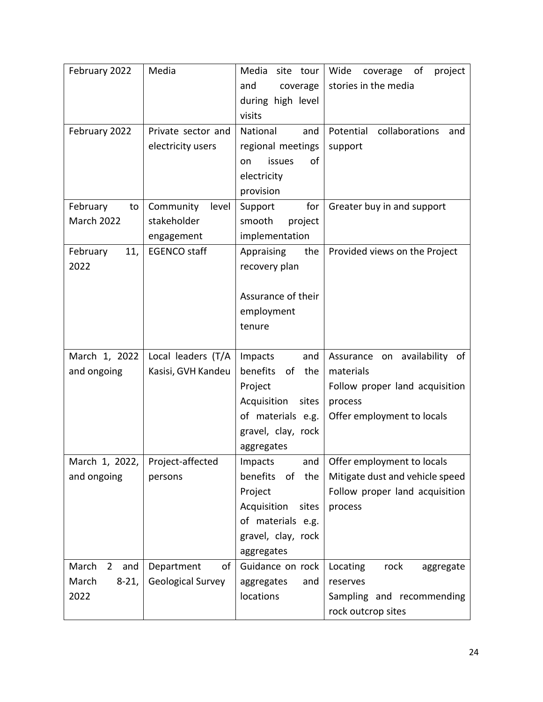| February 2022               | Media                    | Media site tour       | Wide<br>coverage of<br>project     |
|-----------------------------|--------------------------|-----------------------|------------------------------------|
|                             |                          | and<br>coverage       | stories in the media               |
|                             |                          | during high level     |                                    |
|                             |                          | visits                |                                    |
| February 2022               | Private sector and       | National<br>and       | Potential<br>collaborations<br>and |
|                             | electricity users        | regional meetings     | support                            |
|                             |                          | issues<br>οf<br>on    |                                    |
|                             |                          | electricity           |                                    |
|                             |                          | provision             |                                    |
| February<br>to              | Community<br>level       | for<br>Support        | Greater buy in and support         |
| <b>March 2022</b>           | stakeholder              | smooth<br>project     |                                    |
|                             | engagement               | implementation        |                                    |
| 11,<br>February             | <b>EGENCO</b> staff      | the<br>Appraising     | Provided views on the Project      |
| 2022                        |                          | recovery plan         |                                    |
|                             |                          |                       |                                    |
|                             |                          | Assurance of their    |                                    |
|                             |                          | employment            |                                    |
|                             |                          | tenure                |                                    |
|                             |                          |                       |                                    |
| March 1, 2022               | Local leaders (T/A       | Impacts<br>and        | on availability of<br>Assurance    |
| and ongoing                 | Kasisi, GVH Kandeu       | benefits<br>of<br>the | materials                          |
|                             |                          | Project               | Follow proper land acquisition     |
|                             |                          | Acquisition<br>sites  | process                            |
|                             |                          | of materials e.g.     | Offer employment to locals         |
|                             |                          | gravel, clay, rock    |                                    |
|                             |                          | aggregates            |                                    |
| March 1, 2022,              | Project-affected         | and<br>Impacts        | Offer employment to locals         |
| and ongoing                 | persons                  | benefits<br>of the    | Mitigate dust and vehicle speed    |
|                             |                          | Project               | Follow proper land acquisition     |
|                             |                          | Acquisition<br>sites  | process                            |
|                             |                          | of materials e.g.     |                                    |
|                             |                          | gravel, clay, rock    |                                    |
|                             |                          | aggregates            |                                    |
| March<br>$2^{\circ}$<br>and | Department<br>of         | Guidance on rock      | rock<br>Locating<br>aggregate      |
| March<br>$8-21,$            | <b>Geological Survey</b> | aggregates<br>and     | reserves                           |
| 2022                        |                          | locations             | Sampling and recommending          |
|                             |                          |                       | rock outcrop sites                 |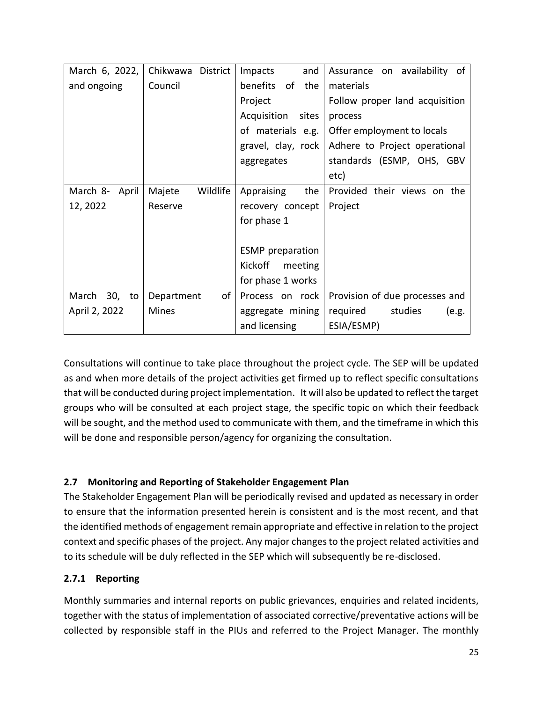| March 6, 2022,  | Chikwawa District  | <b>Impacts</b><br>and     | Assurance on availability of   |
|-----------------|--------------------|---------------------------|--------------------------------|
| and ongoing     | Council            | benefits<br>of<br>the     | materials                      |
|                 |                    | Project                   | Follow proper land acquisition |
|                 |                    | Acquisition<br>sites      | process                        |
|                 |                    | of materials e.g.         | Offer employment to locals     |
|                 |                    | gravel, clay, rock        | Adhere to Project operational  |
|                 |                    | aggregates                | standards (ESMP, OHS, GBV      |
|                 |                    |                           | etc)                           |
| March 8- April  | Wildlife<br>Majete | Appraising<br>the         | Provided their views on the    |
| 12, 2022        | Reserve            | recovery concept          | Project                        |
|                 |                    | for phase 1               |                                |
|                 |                    |                           |                                |
|                 |                    | <b>ESMP</b> preparation   |                                |
|                 |                    | <b>Kickoff</b><br>meeting |                                |
|                 |                    | for phase 1 works         |                                |
| March<br>30, to | of<br>Department   | Process on rock           | Provision of due processes and |
| April 2, 2022   | <b>Mines</b>       | aggregate mining          | studies<br>required<br>(e.g.   |
|                 |                    | and licensing             | ESIA/ESMP)                     |

Consultations will continue to take place throughout the project cycle. The SEP will be updated as and when more details of the project activities get firmed up to reflect specific consultations that will be conducted during project implementation. It will also be updated to reflect the target groups who will be consulted at each project stage, the specific topic on which their feedback will be sought, and the method used to communicate with them, and the timeframe in which this will be done and responsible person/agency for organizing the consultation.

# <span id="page-24-0"></span>**2.7 Monitoring and Reporting of Stakeholder Engagement Plan**

The Stakeholder Engagement Plan will be periodically revised and updated as necessary in order to ensure that the information presented herein is consistent and is the most recent, and that the identified methods of engagement remain appropriate and effective in relation to the project context and specific phases of the project. Any major changes to the project related activities and to its schedule will be duly reflected in the SEP which will subsequently be re-disclosed.

# **2.7.1 Reporting**

Monthly summaries and internal reports on public grievances, enquiries and related incidents, together with the status of implementation of associated corrective/preventative actions will be collected by responsible staff in the PIUs and referred to the Project Manager. The monthly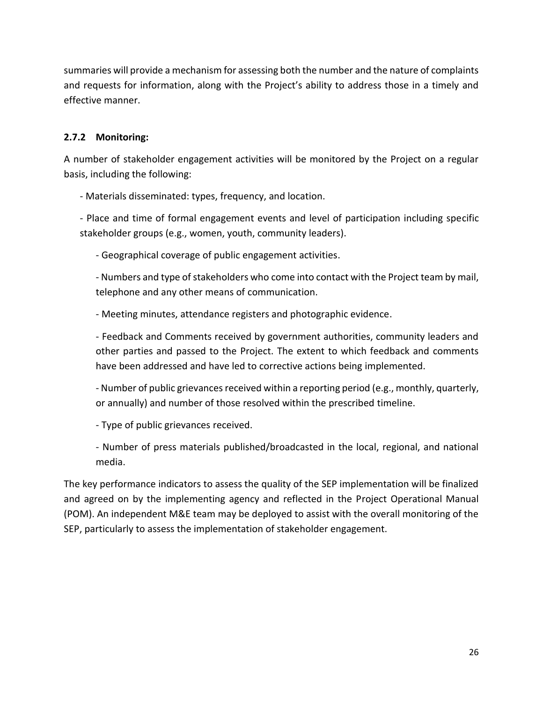summaries will provide a mechanism for assessing both the number and the nature of complaints and requests for information, along with the Project's ability to address those in a timely and effective manner.

# **2.7.2 Monitoring:**

A number of stakeholder engagement activities will be monitored by the Project on a regular basis, including the following:

- Materials disseminated: types, frequency, and location.

- Place and time of formal engagement events and level of participation including specific stakeholder groups (e.g., women, youth, community leaders).

- Geographical coverage of public engagement activities.

- Numbers and type of stakeholders who come into contact with the Project team by mail, telephone and any other means of communication.

- Meeting minutes, attendance registers and photographic evidence.

- Feedback and Comments received by government authorities, community leaders and other parties and passed to the Project. The extent to which feedback and comments have been addressed and have led to corrective actions being implemented.

- Number of public grievances received within a reporting period (e.g., monthly, quarterly, or annually) and number of those resolved within the prescribed timeline.

- Type of public grievances received.

- Number of press materials published/broadcasted in the local, regional, and national media.

The key performance indicators to assess the quality of the SEP implementation will be finalized and agreed on by the implementing agency and reflected in the Project Operational Manual (POM). An independent M&E team may be deployed to assist with the overall monitoring of the SEP, particularly to assess the implementation of stakeholder engagement.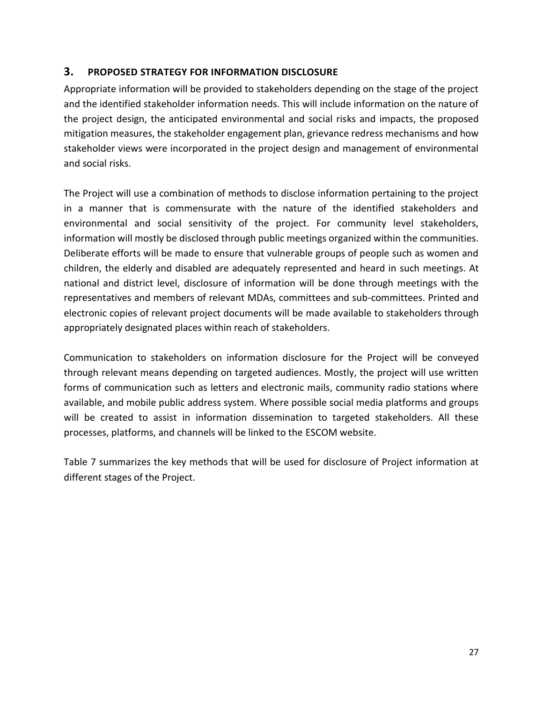# <span id="page-26-0"></span>**3. PROPOSED STRATEGY FOR INFORMATION DISCLOSURE**

Appropriate information will be provided to stakeholders depending on the stage of the project and the identified stakeholder information needs. This will include information on the nature of the project design, the anticipated environmental and social risks and impacts, the proposed mitigation measures, the stakeholder engagement plan, grievance redress mechanisms and how stakeholder views were incorporated in the project design and management of environmental and social risks.

The Project will use a combination of methods to disclose information pertaining to the project in a manner that is commensurate with the nature of the identified stakeholders and environmental and social sensitivity of the project. For community level stakeholders, information will mostly be disclosed through public meetings organized within the communities. Deliberate efforts will be made to ensure that vulnerable groups of people such as women and children, the elderly and disabled are adequately represented and heard in such meetings. At national and district level, disclosure of information will be done through meetings with the representatives and members of relevant MDAs, committees and sub-committees. Printed and electronic copies of relevant project documents will be made available to stakeholders through appropriately designated places within reach of stakeholders.

Communication to stakeholders on information disclosure for the Project will be conveyed through relevant means depending on targeted audiences. Mostly, the project will use written forms of communication such as letters and electronic mails, community radio stations where available, and mobile public address system. Where possible social media platforms and groups will be created to assist in information dissemination to targeted stakeholders. All these processes, platforms, and channels will be linked to the ESCOM website.

Table 7 summarizes the key methods that will be used for disclosure of Project information at different stages of the Project.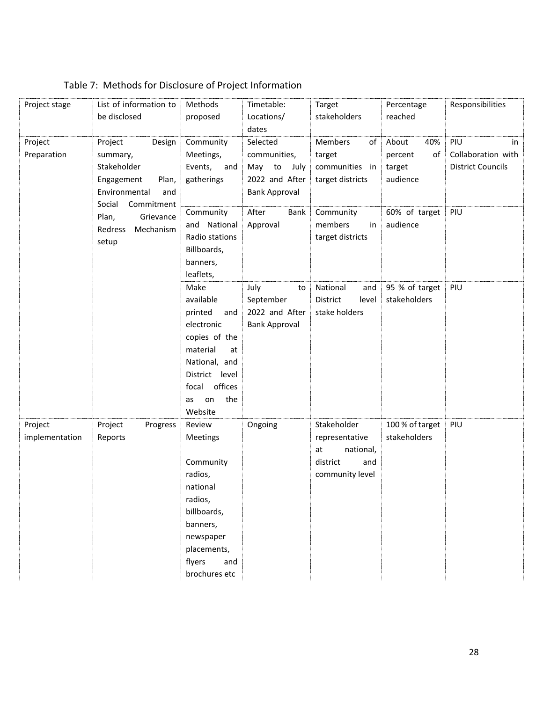| Project stage  | List of information to | Methods          | Timetable:           | Target                             | Percentage      | Responsibilities         |
|----------------|------------------------|------------------|----------------------|------------------------------------|-----------------|--------------------------|
|                | be disclosed           | proposed         | Locations/           | stakeholders                       | reached         |                          |
|                |                        |                  | dates                |                                    |                 |                          |
| Project        | Design<br>Project      | Community        | Selected             | Members<br>of                      | About<br>40%    | PIU<br>in                |
| Preparation    | summary,               | Meetings,        | communities,         | target                             | of<br>percent   | Collaboration with       |
|                | Stakeholder            | Events,<br>and   | May to<br>July       | communities in                     | target          | <b>District Councils</b> |
|                | Engagement<br>Plan,    | gatherings       | 2022 and After       | target districts                   | audience        |                          |
|                | Environmental<br>and   |                  | <b>Bank Approval</b> |                                    |                 |                          |
|                | Social<br>Commitment   | Community        | After<br>Bank        | Community                          | 60% of target   | PIU                      |
|                | Plan,<br>Grievance     | and National     | Approval             | members<br>in                      | audience        |                          |
|                | Mechanism<br>Redress   | Radio stations   |                      | target districts                   |                 |                          |
|                | setup                  | Billboards,      |                      |                                    |                 |                          |
|                |                        | banners,         |                      |                                    |                 |                          |
|                |                        | leaflets,        |                      |                                    |                 |                          |
|                |                        | Make             | July<br>to           | National<br>and                    | 95 % of target  | PIU                      |
|                |                        | available        | September            | District<br>level                  | stakeholders    |                          |
|                |                        | printed<br>and   | 2022 and After       | stake holders                      |                 |                          |
|                |                        | electronic       | <b>Bank Approval</b> |                                    |                 |                          |
|                |                        | copies of the    |                      |                                    |                 |                          |
|                |                        | material<br>at   |                      |                                    |                 |                          |
|                |                        | National, and    |                      |                                    |                 |                          |
|                |                        | District level   |                      |                                    |                 |                          |
|                |                        | offices<br>focal |                      |                                    |                 |                          |
|                |                        | the<br>on<br>as  |                      |                                    |                 |                          |
|                |                        | Website          |                      |                                    |                 |                          |
| Project        | Project<br>Progress    | Review           | Ongoing              | Stakeholder                        | 100 % of target | PIU                      |
| implementation | Reports                | Meetings         |                      | representative                     | stakeholders    |                          |
|                |                        | Community        |                      | at<br>national,<br>district<br>and |                 |                          |
|                |                        | radios,          |                      | community level                    |                 |                          |
|                |                        | national         |                      |                                    |                 |                          |
|                |                        | radios,          |                      |                                    |                 |                          |
|                |                        | billboards,      |                      |                                    |                 |                          |
|                |                        | banners,         |                      |                                    |                 |                          |
|                |                        | newspaper        |                      |                                    |                 |                          |
|                |                        | placements,      |                      |                                    |                 |                          |
|                |                        | flyers<br>and    |                      |                                    |                 |                          |
|                |                        | brochures etc    |                      |                                    |                 |                          |

# Table 7: Methods for Disclosure of Project Information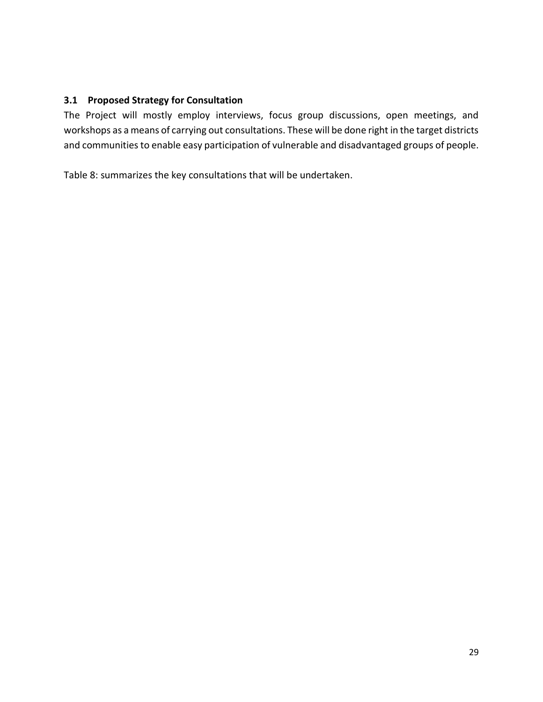# **3.1 Proposed Strategy for Consultation**

The Project will mostly employ interviews, focus group discussions, open meetings, and workshops as a means of carrying out consultations. These will be done right in the target districts and communities to enable easy participation of vulnerable and disadvantaged groups of people.

Table 8: summarizes the key consultations that will be undertaken.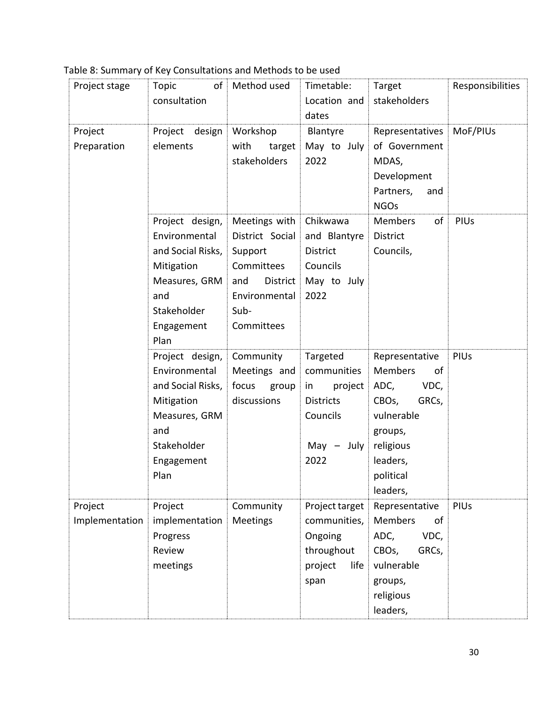Table 8: Summary of Key Consultations and Methods to be used

| Project stage  | Topic<br>of       | Method used     | Timetable:       | Target                      | Responsibilities |
|----------------|-------------------|-----------------|------------------|-----------------------------|------------------|
|                | consultation      |                 | Location and     | stakeholders                |                  |
|                |                   |                 | dates            |                             |                  |
| Project        | Project<br>design | Workshop        | Blantyre         | Representatives             | MoF/PIUs         |
| Preparation    | elements          | with<br>target  | May to July      | of Government               |                  |
|                |                   | stakeholders    | 2022             | MDAS,                       |                  |
|                |                   |                 |                  | Development                 |                  |
|                |                   |                 |                  | Partners,<br>and            |                  |
|                |                   |                 |                  | <b>NGOs</b>                 |                  |
|                | Project design,   | Meetings with   | Chikwawa         | of<br><b>Members</b>        | PIUs             |
|                | Environmental     | District Social | and Blantyre     | <b>District</b>             |                  |
|                | and Social Risks, | Support         | <b>District</b>  | Councils,                   |                  |
|                | Mitigation        | Committees      | Councils         |                             |                  |
|                | Measures, GRM     | and<br>District | May to July      |                             |                  |
|                | and               | Environmental   | 2022             |                             |                  |
|                | Stakeholder       | Sub-            |                  |                             |                  |
|                | Engagement        | Committees      |                  |                             |                  |
|                | Plan              |                 |                  |                             |                  |
|                | Project design,   | Community       | Targeted         | Representative              | <b>PIUs</b>      |
|                | Environmental     | Meetings and    | communities      | <b>Members</b><br>of        |                  |
|                | and Social Risks, | focus<br>group  | project<br>in    | ADC,<br>VDC,                |                  |
|                | Mitigation        | discussions     | <b>Districts</b> | GRCs,<br>CBO <sub>s</sub>   |                  |
|                | Measures, GRM     |                 | Councils         | vulnerable                  |                  |
|                | and               |                 |                  | groups,                     |                  |
|                | Stakeholder       |                 | $May - July$     | religious                   |                  |
|                | Engagement        |                 | 2022             | leaders,                    |                  |
|                | Plan              |                 |                  | political                   |                  |
|                |                   |                 |                  | leaders,                    |                  |
| Project        | Project           | Community       | Project target   | Representative              | PIUs             |
| Implementation | implementation    | Meetings        | communities,     | <b>Members</b><br>of        |                  |
|                | Progress          |                 | Ongoing          | ADC,<br>VDC,                |                  |
|                | Review            |                 | throughout       | CBO <sub>s</sub> ,<br>GRCs, |                  |
|                | meetings          |                 | project<br>life  | vulnerable                  |                  |
|                |                   |                 | span             | groups,                     |                  |
|                |                   |                 |                  | religious                   |                  |
|                |                   |                 |                  | leaders,                    |                  |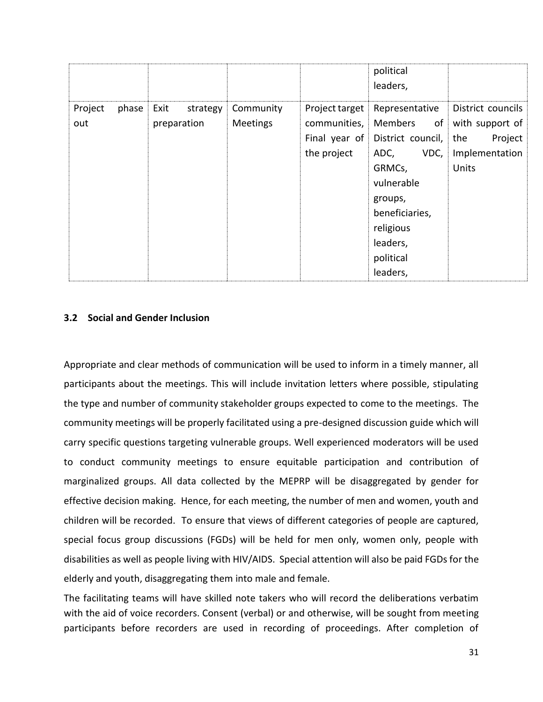|                         |                                 |                       |                                                                | political<br>leaders,                                                                                                                                                       |                                                                                          |
|-------------------------|---------------------------------|-----------------------|----------------------------------------------------------------|-----------------------------------------------------------------------------------------------------------------------------------------------------------------------------|------------------------------------------------------------------------------------------|
| Project<br>phase<br>out | Exit<br>strategy<br>preparation | Community<br>Meetings | Project target<br>communities,<br>Final year of<br>the project | Representative<br>Members<br>of<br>District council,<br>VDC,<br>ADC,<br>GRMCs,<br>vulnerable<br>groups,<br>beneficiaries,<br>religious<br>leaders,<br>political<br>leaders, | District councils<br>with support of<br>Project<br>the<br>Implementation<br><b>Units</b> |

#### **3.2 Social and Gender Inclusion**

Appropriate and clear methods of communication will be used to inform in a timely manner, all participants about the meetings. This will include invitation letters where possible, stipulating the type and number of community stakeholder groups expected to come to the meetings. The community meetings will be properly facilitated using a pre-designed discussion guide which will carry specific questions targeting vulnerable groups. Well experienced moderators will be used to conduct community meetings to ensure equitable participation and contribution of marginalized groups. All data collected by the MEPRP will be disaggregated by gender for effective decision making. Hence, for each meeting, the number of men and women, youth and children will be recorded. To ensure that views of different categories of people are captured, special focus group discussions (FGDs) will be held for men only, women only, people with disabilities as well as people living with HIV/AIDS. Special attention will also be paid FGDs for the elderly and youth, disaggregating them into male and female.

The facilitating teams will have skilled note takers who will record the deliberations verbatim with the aid of voice recorders. Consent (verbal) or and otherwise, will be sought from meeting participants before recorders are used in recording of proceedings. After completion of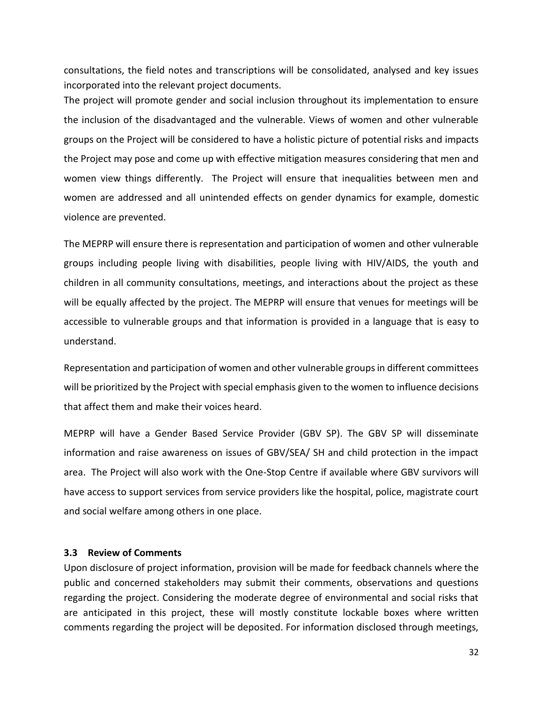consultations, the field notes and transcriptions will be consolidated, analysed and key issues incorporated into the relevant project documents.

The project will promote gender and social inclusion throughout its implementation to ensure the inclusion of the disadvantaged and the vulnerable. Views of women and other vulnerable groups on the Project will be considered to have a holistic picture of potential risks and impacts the Project may pose and come up with effective mitigation measures considering that men and women view things differently. The Project will ensure that inequalities between men and women are addressed and all unintended effects on gender dynamics for example, domestic violence are prevented.

The MEPRP will ensure there is representation and participation of women and other vulnerable groups including people living with disabilities, people living with HIV/AIDS, the youth and children in all community consultations, meetings, and interactions about the project as these will be equally affected by the project. The MEPRP will ensure that venues for meetings will be accessible to vulnerable groups and that information is provided in a language that is easy to understand.

Representation and participation of women and other vulnerable groups in different committees will be prioritized by the Project with special emphasis given to the women to influence decisions that affect them and make their voices heard.

MEPRP will have a Gender Based Service Provider (GBV SP). The GBV SP will disseminate information and raise awareness on issues of GBV/SEA/ SH and child protection in the impact area. The Project will also work with the One-Stop Centre if available where GBV survivors will have access to support services from service providers like the hospital, police, magistrate court and social welfare among others in one place.

#### **3.3 Review of Comments**

Upon disclosure of project information, provision will be made for feedback channels where the public and concerned stakeholders may submit their comments, observations and questions regarding the project. Considering the moderate degree of environmental and social risks that are anticipated in this project, these will mostly constitute lockable boxes where written comments regarding the project will be deposited. For information disclosed through meetings,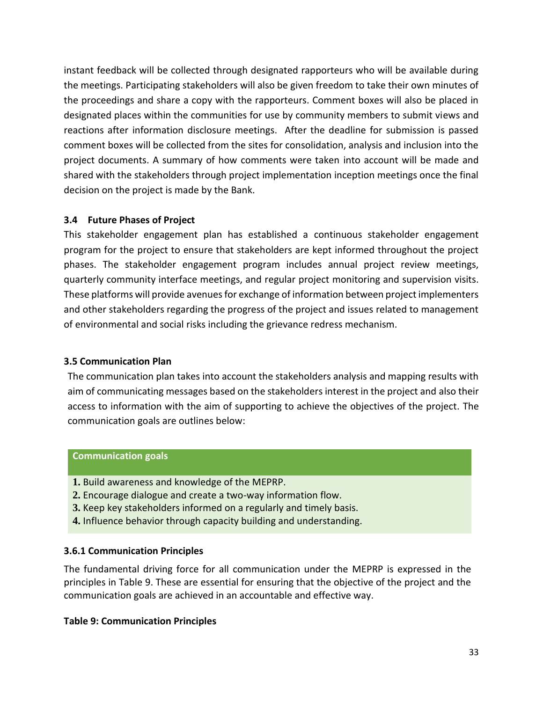instant feedback will be collected through designated rapporteurs who will be available during the meetings. Participating stakeholders will also be given freedom to take their own minutes of the proceedings and share a copy with the rapporteurs. Comment boxes will also be placed in designated places within the communities for use by community members to submit views and reactions after information disclosure meetings. After the deadline for submission is passed comment boxes will be collected from the sites for consolidation, analysis and inclusion into the project documents. A summary of how comments were taken into account will be made and shared with the stakeholders through project implementation inception meetings once the final decision on the project is made by the Bank.

## **3.4 Future Phases of Project**

This stakeholder engagement plan has established a continuous stakeholder engagement program for the project to ensure that stakeholders are kept informed throughout the project phases. The stakeholder engagement program includes annual project review meetings, quarterly community interface meetings, and regular project monitoring and supervision visits. These platforms will provide avenues for exchange of information between project implementers and other stakeholders regarding the progress of the project and issues related to management of environmental and social risks including the grievance redress mechanism.

#### **3.5 Communication Plan**

The communication plan takes into account the stakeholders analysis and mapping results with aim of communicating messages based on the stakeholders interest in the project and also their access to information with the aim of supporting to achieve the objectives of the project. The communication goals are outlines below:

#### **Communication goals**

- **1.** Build awareness and knowledge of the MEPRP.
- **2.** Encourage dialogue and create a two-way information flow.
- **3.** Keep key stakeholders informed on a regularly and timely basis.
- **4.** Influence behavior through capacity building and understanding.

#### **3.6.1 Communication Principles**

The fundamental driving force for all communication under the MEPRP is expressed in the principles in Table 9. These are essential for ensuring that the objective of the project and the communication goals are achieved in an accountable and effective way.

#### **Table 9: Communication Principles**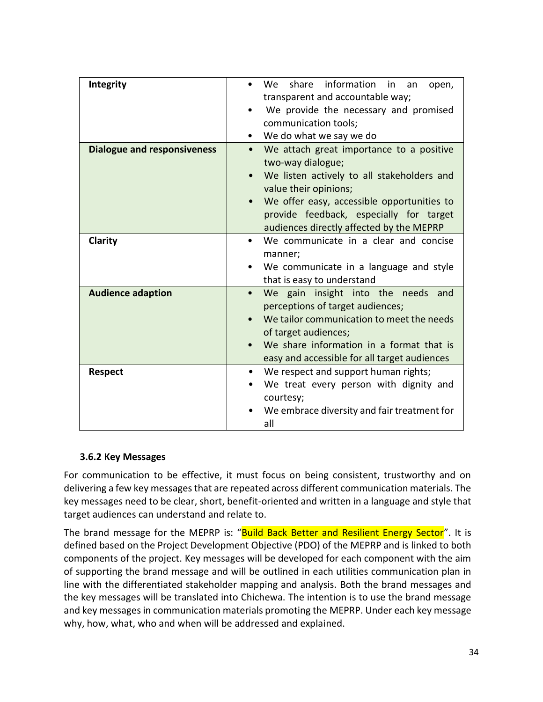| Integrity                          | information in<br>We<br>share<br>open,<br>an<br>transparent and accountable way;<br>We provide the necessary and promised<br>communication tools;<br>We do what we say we do                                                                                                                        |
|------------------------------------|-----------------------------------------------------------------------------------------------------------------------------------------------------------------------------------------------------------------------------------------------------------------------------------------------------|
| <b>Dialogue and responsiveness</b> | We attach great importance to a positive<br>$\bullet$<br>two-way dialogue;<br>We listen actively to all stakeholders and<br>value their opinions;<br>We offer easy, accessible opportunities to<br>$\bullet$<br>provide feedback, especially for target<br>audiences directly affected by the MEPRP |
| Clarity                            | We communicate in a clear and concise<br>manner;<br>We communicate in a language and style<br>that is easy to understand                                                                                                                                                                            |
| <b>Audience adaption</b>           | We gain insight into the needs and<br>perceptions of target audiences;<br>We tailor communication to meet the needs<br>of target audiences;<br>We share information in a format that is<br>easy and accessible for all target audiences                                                             |
| <b>Respect</b>                     | We respect and support human rights;<br>$\bullet$<br>We treat every person with dignity and<br>$\bullet$<br>courtesy;<br>We embrace diversity and fair treatment for<br>all                                                                                                                         |

# **3.6.2 Key Messages**

For communication to be effective, it must focus on being consistent, trustworthy and on delivering a few key messages that are repeated across different communication materials. The key messages need to be clear, short, benefit-oriented and written in a language and style that target audiences can understand and relate to.

The brand message for the MEPRP is: "Build Back Better and Resilient Energy Sector". It is defined based on the Project Development Objective (PDO) of the MEPRP and is linked to both components of the project. Key messages will be developed for each component with the aim of supporting the brand message and will be outlined in each utilities communication plan in line with the differentiated stakeholder mapping and analysis. Both the brand messages and the key messages will be translated into Chichewa. The intention is to use the brand message and key messages in communication materials promoting the MEPRP. Under each key message why, how, what, who and when will be addressed and explained.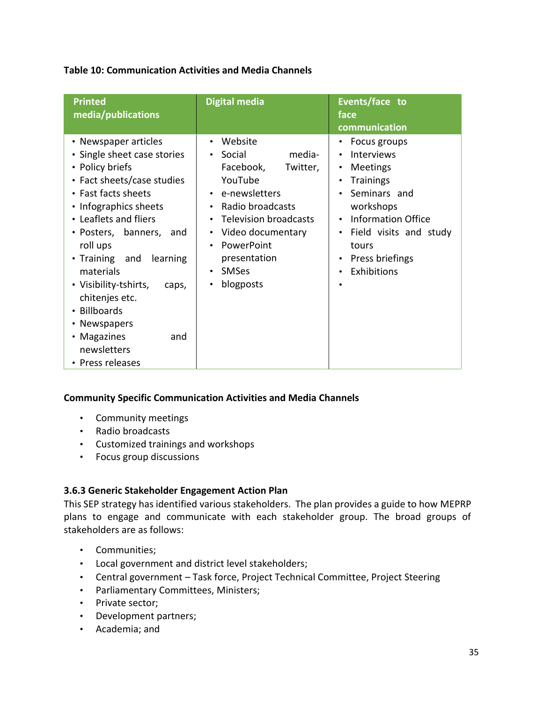# **Table 10: Communication Activities and Media Channels**

| <b>Printed</b><br>media/publications                                                                                                                                                                                                                                                                                                                                                                         | <b>Digital media</b>                                                                                                                                                                                                                                | Events/face to<br>face<br>communication                                                                                                                                                                                                                                                  |
|--------------------------------------------------------------------------------------------------------------------------------------------------------------------------------------------------------------------------------------------------------------------------------------------------------------------------------------------------------------------------------------------------------------|-----------------------------------------------------------------------------------------------------------------------------------------------------------------------------------------------------------------------------------------------------|------------------------------------------------------------------------------------------------------------------------------------------------------------------------------------------------------------------------------------------------------------------------------------------|
| • Newspaper articles<br>• Single sheet case stories<br>• Policy briefs<br>• Fact sheets/case studies<br>• Fast facts sheets<br>• Infographics sheets<br>• Leaflets and fliers<br>• Posters, banners, and<br>roll ups<br>• Training and<br>learning<br>materials<br>• Visibility-tshirts,<br>caps,<br>chitenjes etc.<br>• Billboards<br>• Newspapers<br>• Magazines<br>and<br>newsletters<br>• Press releases | Website<br>Social<br>media-<br>Facebook,<br>Twitter,<br>YouTube<br>e-newsletters<br>Radio broadcasts<br>$\bullet$<br><b>Television broadcasts</b><br>$\bullet$<br>Video documentary<br>٠<br>PowerPoint<br>presentation<br><b>SMSes</b><br>blogposts | Focus groups<br>٠<br>Interviews<br><b>Meetings</b><br>٠<br><b>Trainings</b><br>$\bullet$<br>Seminars and<br>$\bullet$<br>workshops<br><b>Information Office</b><br>$\bullet$<br>Field visits and study<br>$\bullet$<br>tours<br>Press briefings<br>$\bullet$<br>Exhibitions<br>$\bullet$ |

# **Community Specific Communication Activities and Media Channels**

- Community meetings
- Radio broadcasts
- Customized trainings and workshops
- Focus group discussions

# <span id="page-34-0"></span>**3.6.3 Generic Stakeholder Engagement Action Plan**

This SEP strategy has identified various stakeholders. The plan provides a guide to how MEPRP plans to engage and communicate with each stakeholder group. The broad groups of stakeholders are as follows:

- Communities;
- Local government and district level stakeholders;
- Central government Task force, Project Technical Committee, Project Steering
- Parliamentary Committees, Ministers;
- Private sector;
- Development partners;
- Academia; and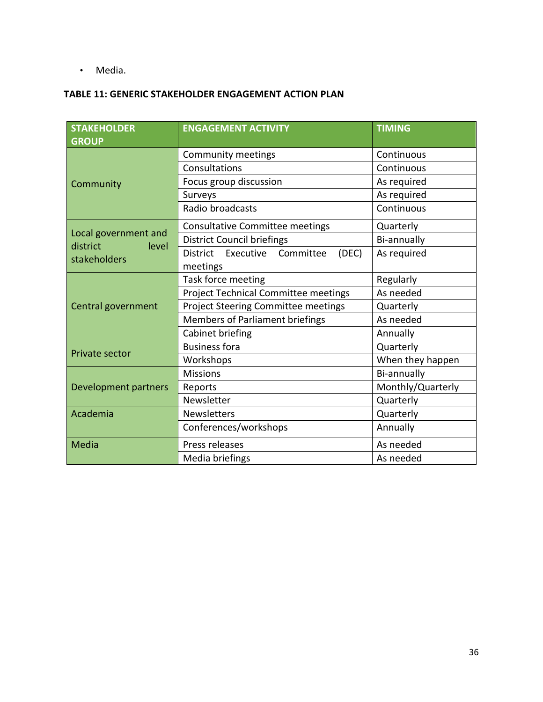• Media.

# **TABLE 11: GENERIC STAKEHOLDER ENGAGEMENT ACTION PLAN**

| <b>STAKEHOLDER</b><br><b>GROUP</b>        | <b>ENGAGEMENT ACTIVITY</b>                         | <b>TIMING</b>     |
|-------------------------------------------|----------------------------------------------------|-------------------|
|                                           | Community meetings                                 | Continuous        |
|                                           | Consultations                                      | Continuous        |
| Community                                 | Focus group discussion                             | As required       |
|                                           | Surveys                                            | As required       |
|                                           | Radio broadcasts                                   | Continuous        |
|                                           | Consultative Committee meetings                    | Quarterly         |
| Local government and<br>district<br>level | <b>District Council briefings</b>                  | Bi-annually       |
| stakeholders                              | Committee<br>Executive<br>(DEC)<br><b>District</b> | As required       |
|                                           | meetings                                           |                   |
|                                           | Task force meeting                                 | Regularly         |
|                                           | Project Technical Committee meetings               | As needed         |
| Central government                        | <b>Project Steering Committee meetings</b>         | Quarterly         |
|                                           | <b>Members of Parliament briefings</b>             | As needed         |
|                                           | Cabinet briefing                                   | Annually          |
| Private sector                            | <b>Business fora</b>                               | Quarterly         |
|                                           | Workshops                                          | When they happen  |
|                                           | <b>Missions</b>                                    | Bi-annually       |
| <b>Development partners</b>               | Reports                                            | Monthly/Quarterly |
|                                           | Newsletter                                         | Quarterly         |
| Academia                                  | <b>Newsletters</b>                                 | Quarterly         |
|                                           | Conferences/workshops                              | Annually          |
| Media                                     | Press releases                                     | As needed         |
|                                           | Media briefings                                    | As needed         |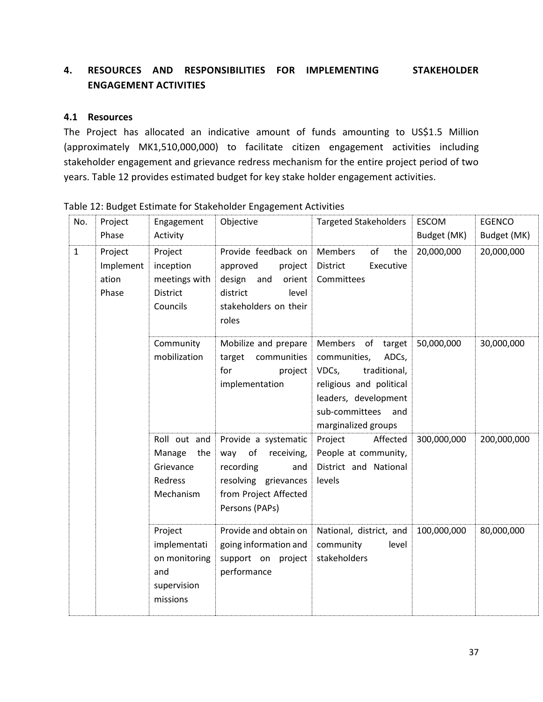# <span id="page-36-0"></span>**4. RESOURCES AND RESPONSIBILITIES FOR IMPLEMENTING STAKEHOLDER ENGAGEMENT ACTIVITIES**

## **4.1 Resources**

The Project has allocated an indicative amount of funds amounting to US\$1.5 Million (approximately MK1,510,000,000) to facilitate citizen engagement activities including stakeholder engagement and grievance redress mechanism for the entire project period of two years. Table 12 provides estimated budget for key stake holder engagement activities.

| No.          | Project<br>Phase                       | Engagement<br>Activity                                                     | Objective                                                                                                                           | <b>Targeted Stakeholders</b>                                                                                                                                        | <b>ESCOM</b><br>Budget (MK) | <b>EGENCO</b><br>Budget (MK) |
|--------------|----------------------------------------|----------------------------------------------------------------------------|-------------------------------------------------------------------------------------------------------------------------------------|---------------------------------------------------------------------------------------------------------------------------------------------------------------------|-----------------------------|------------------------------|
| $\mathbf{1}$ | Project<br>Implement<br>ation<br>Phase | Project<br>inception<br>meetings with<br>District<br>Councils              | Provide feedback on<br>approved<br>project<br>design and<br>orient<br>district<br>level<br>stakeholders on their<br>roles           | Members<br>of<br>the<br>District<br>Executive<br>Committees                                                                                                         | 20,000,000                  | 20,000,000                   |
|              |                                        | Community<br>mobilization                                                  | Mobilize and prepare<br>target communities<br>for<br>project<br>implementation                                                      | Members of target<br>communities,<br>ADCs,<br>traditional,<br>VDCs,<br>religious and political<br>leaders, development<br>sub-committees and<br>marginalized groups | 50,000,000                  | 30,000,000                   |
|              |                                        | Roll out and<br>Manage<br>the<br>Grievance<br>Redress<br>Mechanism         | Provide a systematic<br>way of<br>receiving,<br>recording<br>and<br>resolving grievances<br>from Project Affected<br>Persons (PAPs) | Project<br>Affected<br>People at community,<br>District and National<br>levels                                                                                      | 300,000,000                 | 200,000,000                  |
|              |                                        | Project<br>implementati<br>on monitoring<br>and<br>supervision<br>missions | Provide and obtain on<br>going information and<br>support on project<br>performance                                                 | National, district, and<br>community<br>level<br>stakeholders                                                                                                       | 100,000,000                 | 80,000,000                   |

#### Table 12: Budget Estimate for Stakeholder Engagement Activities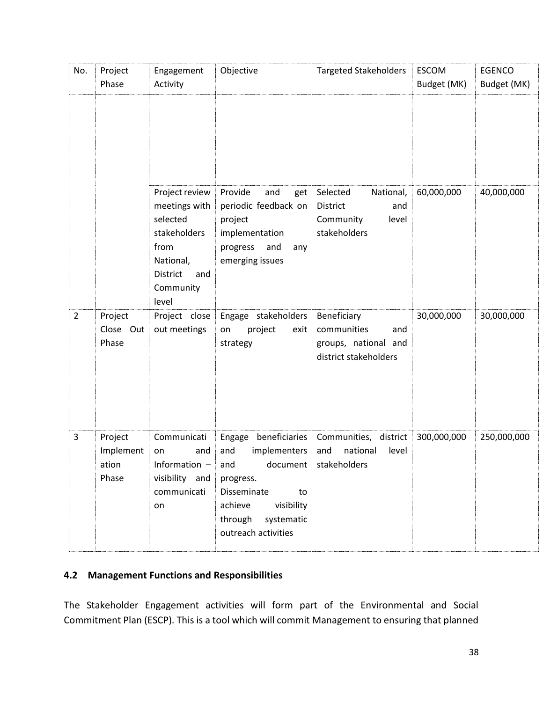| No.            | Project<br>Phase                       | Engagement<br>Activity                                                                                                    | Objective                                                                                                                                                                    | <b>Targeted Stakeholders</b>                                                       | <b>ESCOM</b><br>Budget (MK) | <b>EGENCO</b><br>Budget (MK) |
|----------------|----------------------------------------|---------------------------------------------------------------------------------------------------------------------------|------------------------------------------------------------------------------------------------------------------------------------------------------------------------------|------------------------------------------------------------------------------------|-----------------------------|------------------------------|
|                |                                        |                                                                                                                           |                                                                                                                                                                              |                                                                                    |                             |                              |
|                |                                        | Project review<br>meetings with<br>selected<br>stakeholders<br>from<br>National,<br>District<br>and<br>Community<br>level | Provide<br>and<br>get<br>periodic feedback on<br>project<br>implementation<br>progress<br>and<br>any<br>emerging issues                                                      | Selected<br>National,<br>District<br>and<br>Community<br>level<br>stakeholders     | 60,000,000                  | 40,000,000                   |
| $\overline{2}$ | Project<br>Close Out<br>Phase          | Project close<br>out meetings                                                                                             | Engage stakeholders<br>project<br>exit<br>on<br>strategy                                                                                                                     | Beneficiary<br>communities<br>and<br>groups, national and<br>district stakeholders | 30,000,000                  | 30,000,000                   |
| 3              | Project<br>Implement<br>ation<br>Phase | Communicati<br>and<br>on<br>Information -<br>visibility and<br>communicati<br>on                                          | beneficiaries<br>Engage<br>and<br>implementers<br>document<br>and<br>progress.<br>Disseminate<br>to<br>achieve<br>visibility<br>through<br>systematic<br>outreach activities | Communities, district<br>national<br>and<br>level<br>stakeholders                  | 300,000,000                 | 250,000,000                  |

# **4.2 Management Functions and Responsibilities**

The Stakeholder Engagement activities will form part of the Environmental and Social Commitment Plan (ESCP). This is a tool which will commit Management to ensuring that planned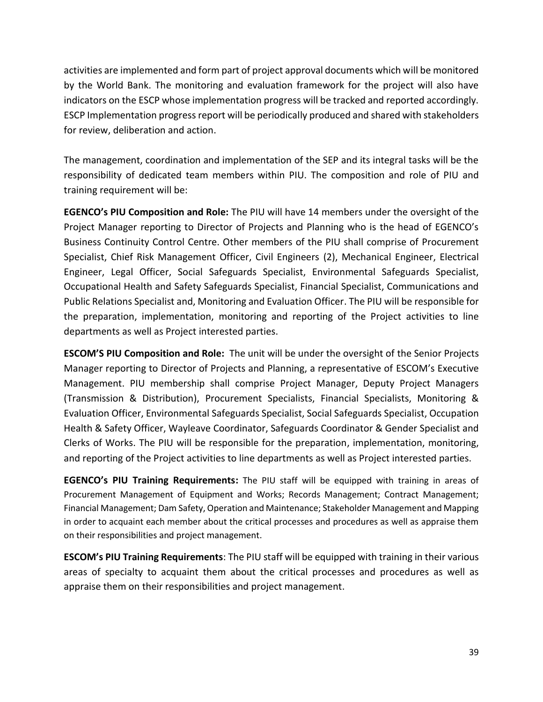activities are implemented and form part of project approval documents which will be monitored by the World Bank. The monitoring and evaluation framework for the project will also have indicators on the ESCP whose implementation progress will be tracked and reported accordingly. ESCP Implementation progress report will be periodically produced and shared with stakeholders for review, deliberation and action.

The management, coordination and implementation of the SEP and its integral tasks will be the responsibility of dedicated team members within PIU. The composition and role of PIU and training requirement will be:

**EGENCO's PIU Composition and Role:** The PIU will have 14 members under the oversight of the Project Manager reporting to Director of Projects and Planning who is the head of EGENCO's Business Continuity Control Centre. Other members of the PIU shall comprise of Procurement Specialist, Chief Risk Management Officer, Civil Engineers (2), Mechanical Engineer, Electrical Engineer, Legal Officer, Social Safeguards Specialist, Environmental Safeguards Specialist, Occupational Health and Safety Safeguards Specialist, Financial Specialist, Communications and Public Relations Specialist and, Monitoring and Evaluation Officer. The PIU will be responsible for the preparation, implementation, monitoring and reporting of the Project activities to line departments as well as Project interested parties.

**ESCOM'S PIU Composition and Role:** The unit will be under the oversight of the Senior Projects Manager reporting to Director of Projects and Planning, a representative of ESCOM's Executive Management. PIU membership shall comprise Project Manager, Deputy Project Managers (Transmission & Distribution), Procurement Specialists, Financial Specialists, Monitoring & Evaluation Officer, Environmental Safeguards Specialist, Social Safeguards Specialist, Occupation Health & Safety Officer, Wayleave Coordinator, Safeguards Coordinator & Gender Specialist and Clerks of Works. The PIU will be responsible for the preparation, implementation, monitoring, and reporting of the Project activities to line departments as well as Project interested parties.

**EGENCO's PIU Training Requirements:** The PIU staff will be equipped with training in areas of Procurement Management of Equipment and Works; Records Management; Contract Management; Financial Management; Dam Safety, Operation and Maintenance; Stakeholder Management and Mapping in order to acquaint each member about the critical processes and procedures as well as appraise them on their responsibilities and project management.

**ESCOM's PIU Training Requirements**: The PIU staff will be equipped with training in their various areas of specialty to acquaint them about the critical processes and procedures as well as appraise them on their responsibilities and project management.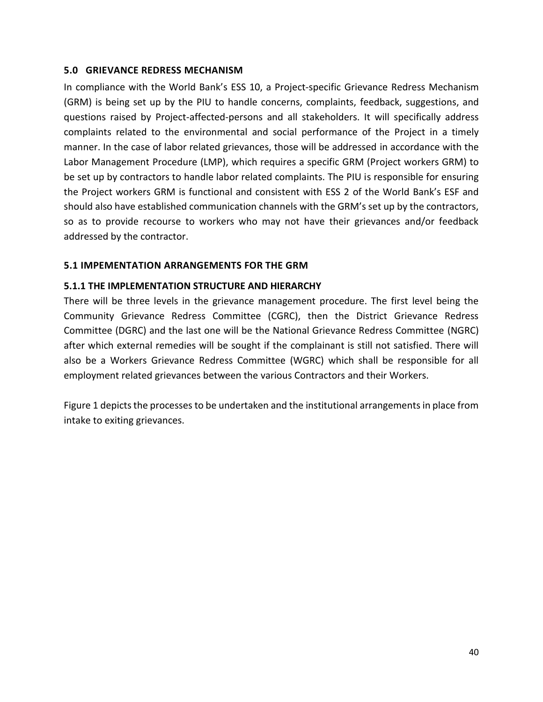#### <span id="page-39-0"></span>**5.0 GRIEVANCE REDRESS MECHANISM**

In compliance with the World Bank's ESS 10, a Project-specific Grievance Redress Mechanism (GRM) is being set up by the PIU to handle concerns, complaints, feedback, suggestions, and questions raised by Project-affected-persons and all stakeholders. It will specifically address complaints related to the environmental and social performance of the Project in a timely manner. In the case of labor related grievances, those will be addressed in accordance with the Labor Management Procedure (LMP), which requires a specific GRM (Project workers GRM) to be set up by contractors to handle labor related complaints. The PIU is responsible for ensuring the Project workers GRM is functional and consistent with ESS 2 of the World Bank's ESF and should also have established communication channels with the GRM's set up by the contractors, so as to provide recourse to workers who may not have their grievances and/or feedback addressed by the contractor.

#### <span id="page-39-1"></span>**5.1 IMPEMENTATION ARRANGEMENTS FOR THE GRM**

#### <span id="page-39-2"></span>**5.1.1 THE IMPLEMENTATION STRUCTURE AND HIERARCHY**

There will be three levels in the grievance management procedure. The first level being the Community Grievance Redress Committee (CGRC), then the District Grievance Redress Committee (DGRC) and the last one will be the National Grievance Redress Committee (NGRC) after which external remedies will be sought if the complainant is still not satisfied. There will also be a Workers Grievance Redress Committee (WGRC) which shall be responsible for all employment related grievances between the various Contractors and their Workers.

Figure 1 depicts the processes to be undertaken and the institutional arrangements in place from intake to exiting grievances.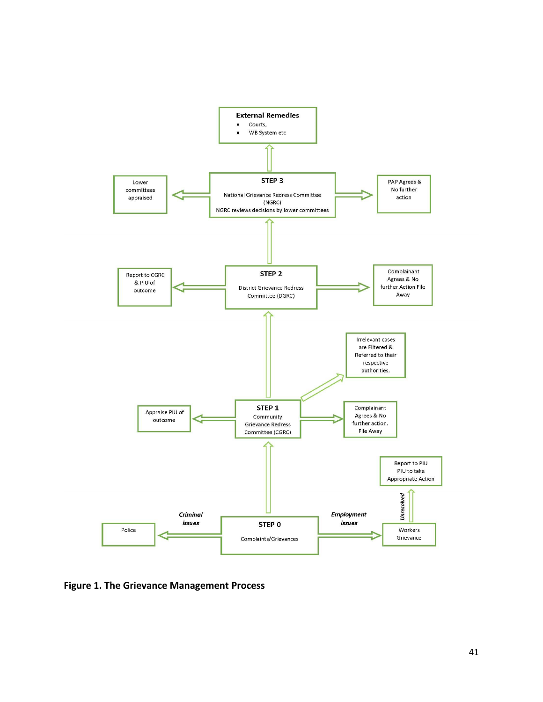

**Figure 1. The Grievance Management Process**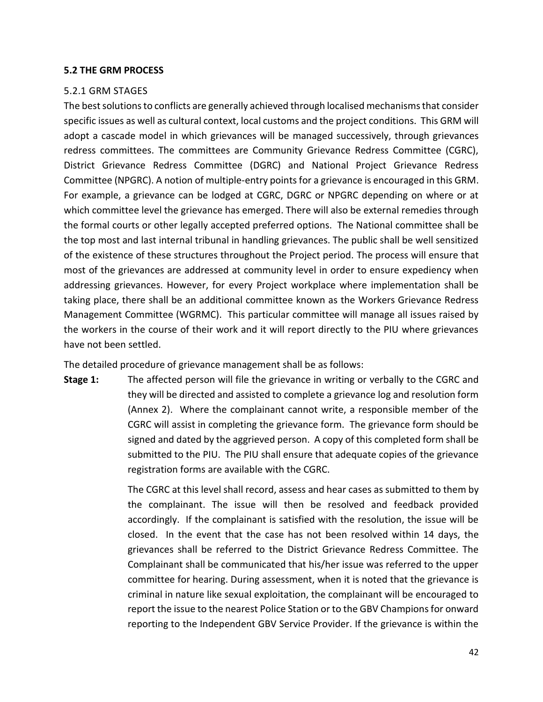#### <span id="page-41-0"></span>**5.2 THE GRM PROCESS**

## <span id="page-41-1"></span>5.2.1 GRM STAGES

The best solutions to conflicts are generally achieved through localised mechanisms that consider specific issues as well as cultural context, local customs and the project conditions. This GRM will adopt a cascade model in which grievances will be managed successively, through grievances redress committees. The committees are Community Grievance Redress Committee (CGRC), District Grievance Redress Committee (DGRC) and National Project Grievance Redress Committee (NPGRC). A notion of multiple-entry points for a grievance is encouraged in this GRM. For example, a grievance can be lodged at CGRC, DGRC or NPGRC depending on where or at which committee level the grievance has emerged. There will also be external remedies through the formal courts or other legally accepted preferred options. The National committee shall be the top most and last internal tribunal in handling grievances. The public shall be well sensitized of the existence of these structures throughout the Project period. The process will ensure that most of the grievances are addressed at community level in order to ensure expediency when addressing grievances. However, for every Project workplace where implementation shall be taking place, there shall be an additional committee known as the Workers Grievance Redress Management Committee (WGRMC). This particular committee will manage all issues raised by the workers in the course of their work and it will report directly to the PIU where grievances have not been settled.

The detailed procedure of grievance management shall be as follows:

**Stage 1:** The affected person will file the grievance in writing or verbally to the CGRC and they will be directed and assisted to complete a grievance log and resolution form (Annex 2). Where the complainant cannot write, a responsible member of the CGRC will assist in completing the grievance form. The grievance form should be signed and dated by the aggrieved person. A copy of this completed form shall be submitted to the PIU. The PIU shall ensure that adequate copies of the grievance registration forms are available with the CGRC.

> The CGRC at this level shall record, assess and hear cases as submitted to them by the complainant. The issue will then be resolved and feedback provided accordingly. If the complainant is satisfied with the resolution, the issue will be closed. In the event that the case has not been resolved within 14 days, the grievances shall be referred to the District Grievance Redress Committee. The Complainant shall be communicated that his/her issue was referred to the upper committee for hearing. During assessment, when it is noted that the grievance is criminal in nature like sexual exploitation, the complainant will be encouraged to report the issue to the nearest Police Station or to the GBV Champions for onward reporting to the Independent GBV Service Provider. If the grievance is within the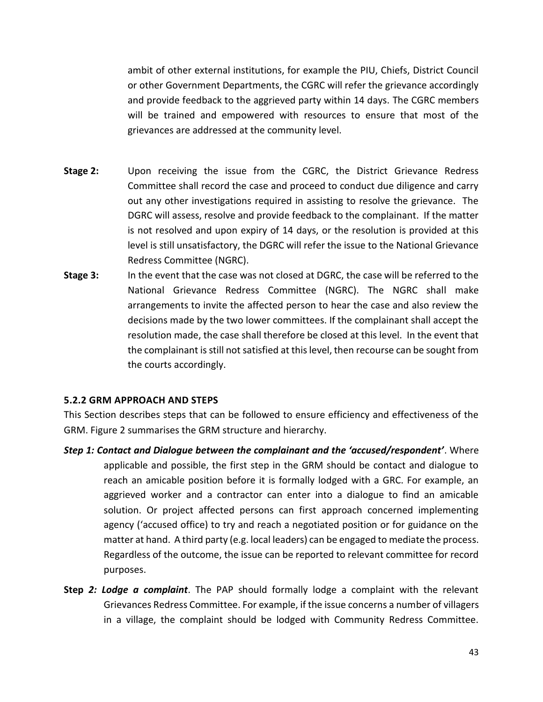ambit of other external institutions, for example the PIU, Chiefs, District Council or other Government Departments, the CGRC will refer the grievance accordingly and provide feedback to the aggrieved party within 14 days. The CGRC members will be trained and empowered with resources to ensure that most of the grievances are addressed at the community level.

- **Stage 2:** Upon receiving the issue from the CGRC, the District Grievance Redress Committee shall record the case and proceed to conduct due diligence and carry out any other investigations required in assisting to resolve the grievance. The DGRC will assess, resolve and provide feedback to the complainant. If the matter is not resolved and upon expiry of 14 days, or the resolution is provided at this level is still unsatisfactory, the DGRC will refer the issue to the National Grievance Redress Committee (NGRC).
- **Stage 3:** In the event that the case was not closed at DGRC, the case will be referred to the National Grievance Redress Committee (NGRC). The NGRC shall make arrangements to invite the affected person to hear the case and also review the decisions made by the two lower committees. If the complainant shall accept the resolution made, the case shall therefore be closed at this level. In the event that the complainant is still not satisfied at this level, then recourse can be sought from the courts accordingly.

#### <span id="page-42-0"></span>**5.2.2 GRM APPROACH AND STEPS**

This Section describes steps that can be followed to ensure efficiency and effectiveness of the GRM. Figure 2 summarises the GRM structure and hierarchy.

- *Step 1: Contact and Dialogue between the complainant and the 'accused/respondent'*. Where applicable and possible, the first step in the GRM should be contact and dialogue to reach an amicable position before it is formally lodged with a GRC. For example, an aggrieved worker and a contractor can enter into a dialogue to find an amicable solution. Or project affected persons can first approach concerned implementing agency ('accused office) to try and reach a negotiated position or for guidance on the matter at hand. A third party (e.g. local leaders) can be engaged to mediate the process. Regardless of the outcome, the issue can be reported to relevant committee for record purposes.
- **Step** *2: Lodge a complaint*. The PAP should formally lodge a complaint with the relevant Grievances Redress Committee. For example, if the issue concerns a number of villagers in a village, the complaint should be lodged with Community Redress Committee.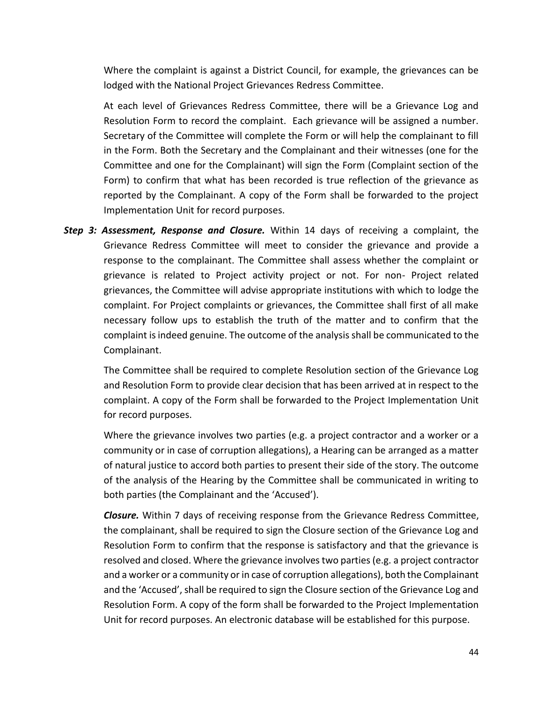Where the complaint is against a District Council, for example, the grievances can be lodged with the National Project Grievances Redress Committee.

At each level of Grievances Redress Committee, there will be a Grievance Log and Resolution Form to record the complaint. Each grievance will be assigned a number. Secretary of the Committee will complete the Form or will help the complainant to fill in the Form. Both the Secretary and the Complainant and their witnesses (one for the Committee and one for the Complainant) will sign the Form (Complaint section of the Form) to confirm that what has been recorded is true reflection of the grievance as reported by the Complainant. A copy of the Form shall be forwarded to the project Implementation Unit for record purposes.

*Step 3: Assessment, Response and Closure.* Within 14 days of receiving a complaint, the Grievance Redress Committee will meet to consider the grievance and provide a response to the complainant. The Committee shall assess whether the complaint or grievance is related to Project activity project or not. For non- Project related grievances, the Committee will advise appropriate institutions with which to lodge the complaint. For Project complaints or grievances, the Committee shall first of all make necessary follow ups to establish the truth of the matter and to confirm that the complaint is indeed genuine. The outcome of the analysis shall be communicated to the Complainant.

The Committee shall be required to complete Resolution section of the Grievance Log and Resolution Form to provide clear decision that has been arrived at in respect to the complaint. A copy of the Form shall be forwarded to the Project Implementation Unit for record purposes.

Where the grievance involves two parties (e.g. a project contractor and a worker or a community or in case of corruption allegations), a Hearing can be arranged as a matter of natural justice to accord both parties to present their side of the story. The outcome of the analysis of the Hearing by the Committee shall be communicated in writing to both parties (the Complainant and the 'Accused').

*Closure.* Within 7 days of receiving response from the Grievance Redress Committee, the complainant, shall be required to sign the Closure section of the Grievance Log and Resolution Form to confirm that the response is satisfactory and that the grievance is resolved and closed. Where the grievance involves two parties (e.g. a project contractor and a worker or a community or in case of corruption allegations), both the Complainant and the 'Accused', shall be required to sign the Closure section of the Grievance Log and Resolution Form. A copy of the form shall be forwarded to the Project Implementation Unit for record purposes. An electronic database will be established for this purpose.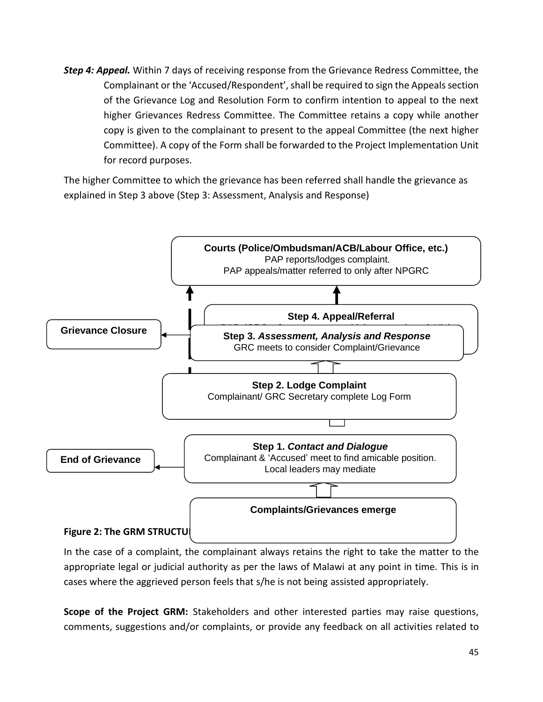*Step 4: Appeal.* Within 7 days of receiving response from the Grievance Redress Committee, the Complainant or the 'Accused/Respondent', shall be required to sign the Appeals section of the Grievance Log and Resolution Form to confirm intention to appeal to the next higher Grievances Redress Committee. The Committee retains a copy while another copy is given to the complainant to present to the appeal Committee (the next higher Committee). A copy of the Form shall be forwarded to the Project Implementation Unit for record purposes.

The higher Committee to which the grievance has been referred shall handle the grievance as explained in Step 3 above (Step 3: Assessment, Analysis and Response)



In the case of a complaint, the complainant always retains the right to take the matter to the appropriate legal or judicial authority as per the laws of Malawi at any point in time. This is in cases where the aggrieved person feels that s/he is not being assisted appropriately.

**Scope of the Project GRM:** Stakeholders and other interested parties may raise questions, comments, suggestions and/or complaints, or provide any feedback on all activities related to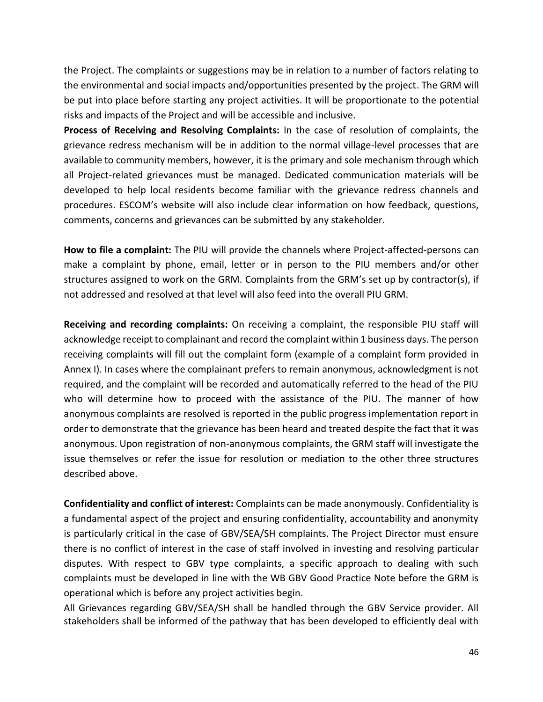the Project. The complaints or suggestions may be in relation to a number of factors relating to the environmental and social impacts and/opportunities presented by the project. The GRM will be put into place before starting any project activities. It will be proportionate to the potential risks and impacts of the Project and will be accessible and inclusive.

**Process of Receiving and Resolving Complaints:** In the case of resolution of complaints, the grievance redress mechanism will be in addition to the normal village-level processes that are available to community members, however, it is the primary and sole mechanism through which all Project-related grievances must be managed. Dedicated communication materials will be developed to help local residents become familiar with the grievance redress channels and procedures. ESCOM's website will also include clear information on how feedback, questions, comments, concerns and grievances can be submitted by any stakeholder.

**How to file a complaint:** The PIU will provide the channels where Project-affected-persons can make a complaint by phone, email, letter or in person to the PIU members and/or other structures assigned to work on the GRM. Complaints from the GRM's set up by contractor(s), if not addressed and resolved at that level will also feed into the overall PIU GRM.

**Receiving and recording complaints:** On receiving a complaint, the responsible PIU staff will acknowledge receipt to complainant and record the complaint within 1 business days. The person receiving complaints will fill out the complaint form (example of a complaint form provided in Annex I). In cases where the complainant prefers to remain anonymous, acknowledgment is not required, and the complaint will be recorded and automatically referred to the head of the PIU who will determine how to proceed with the assistance of the PIU. The manner of how anonymous complaints are resolved is reported in the public progress implementation report in order to demonstrate that the grievance has been heard and treated despite the fact that it was anonymous. Upon registration of non-anonymous complaints, the GRM staff will investigate the issue themselves or refer the issue for resolution or mediation to the other three structures described above.

**Confidentiality and conflict of interest:** Complaints can be made anonymously. Confidentiality is a fundamental aspect of the project and ensuring confidentiality, accountability and anonymity is particularly critical in the case of GBV/SEA/SH complaints. The Project Director must ensure there is no conflict of interest in the case of staff involved in investing and resolving particular disputes. With respect to GBV type complaints, a specific approach to dealing with such complaints must be developed in line with the WB GBV Good Practice Note before the GRM is operational which is before any project activities begin.

All Grievances regarding GBV/SEA/SH shall be handled through the GBV Service provider. All stakeholders shall be informed of the pathway that has been developed to efficiently deal with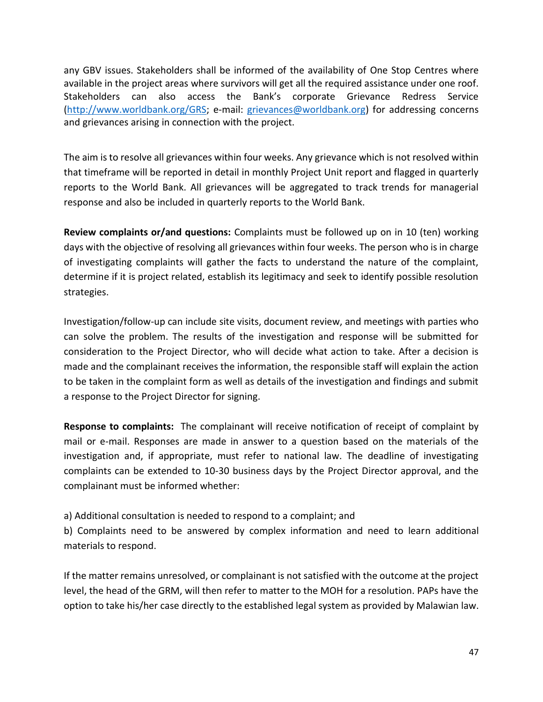any GBV issues. Stakeholders shall be informed of the availability of One Stop Centres where available in the project areas where survivors will get all the required assistance under one roof. Stakeholders can also access the Bank's corporate Grievance Redress Service [\(http://www.worldbank.org/GRS;](http://www.worldbank.org/GRS) e-mail: [grievances@worldbank.org\)](mailto:grievances@worldbank.org) for addressing concerns and grievances arising in connection with the project.

The aim is to resolve all grievances within four weeks. Any grievance which is not resolved within that timeframe will be reported in detail in monthly Project Unit report and flagged in quarterly reports to the World Bank. All grievances will be aggregated to track trends for managerial response and also be included in quarterly reports to the World Bank.

**Review complaints or/and questions:** Complaints must be followed up on in 10 (ten) working days with the objective of resolving all grievances within four weeks. The person who is in charge of investigating complaints will gather the facts to understand the nature of the complaint, determine if it is project related, establish its legitimacy and seek to identify possible resolution strategies.

Investigation/follow-up can include site visits, document review, and meetings with parties who can solve the problem. The results of the investigation and response will be submitted for consideration to the Project Director, who will decide what action to take. After a decision is made and the complainant receives the information, the responsible staff will explain the action to be taken in the complaint form as well as details of the investigation and findings and submit a response to the Project Director for signing.

**Response to complaints:** The complainant will receive notification of receipt of complaint by mail or e-mail. Responses are made in answer to a question based on the materials of the investigation and, if appropriate, must refer to national law. The deadline of investigating complaints can be extended to 10-30 business days by the Project Director approval, and the complainant must be informed whether:

# a) Additional consultation is needed to respond to a complaint; and

b) Complaints need to be answered by complex information and need to learn additional materials to respond.

If the matter remains unresolved, or complainant is not satisfied with the outcome at the project level, the head of the GRM, will then refer to matter to the MOH for a resolution. PAPs have the option to take his/her case directly to the established legal system as provided by Malawian law.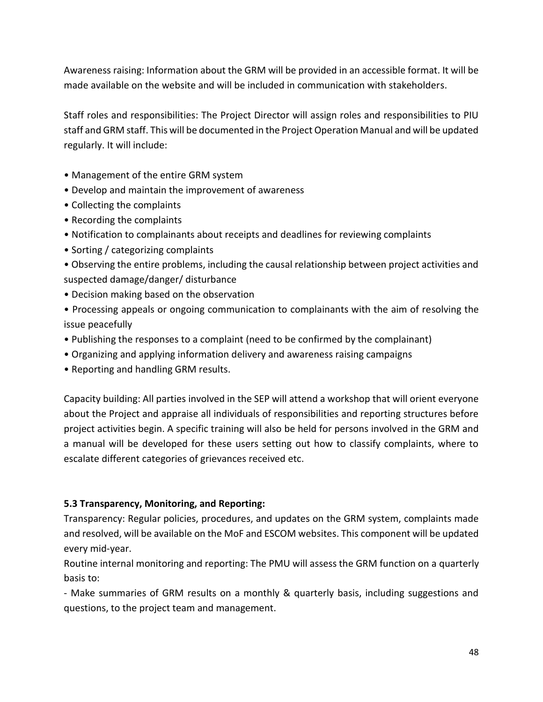Awareness raising: Information about the GRM will be provided in an accessible format. It will be made available on the website and will be included in communication with stakeholders.

Staff roles and responsibilities: The Project Director will assign roles and responsibilities to PIU staff and GRM staff. This will be documented in the Project Operation Manual and will be updated regularly. It will include:

- Management of the entire GRM system
- Develop and maintain the improvement of awareness
- Collecting the complaints
- Recording the complaints
- Notification to complainants about receipts and deadlines for reviewing complaints
- Sorting / categorizing complaints
- Observing the entire problems, including the causal relationship between project activities and suspected damage/danger/ disturbance
- Decision making based on the observation
- Processing appeals or ongoing communication to complainants with the aim of resolving the issue peacefully
- Publishing the responses to a complaint (need to be confirmed by the complainant)
- Organizing and applying information delivery and awareness raising campaigns
- Reporting and handling GRM results.

Capacity building: All parties involved in the SEP will attend a workshop that will orient everyone about the Project and appraise all individuals of responsibilities and reporting structures before project activities begin. A specific training will also be held for persons involved in the GRM and a manual will be developed for these users setting out how to classify complaints, where to escalate different categories of grievances received etc.

#### **5.3 Transparency, Monitoring, and Reporting:**

Transparency: Regular policies, procedures, and updates on the GRM system, complaints made and resolved, will be available on the MoF and ESCOM websites. This component will be updated every mid-year.

Routine internal monitoring and reporting: The PMU will assess the GRM function on a quarterly basis to:

- Make summaries of GRM results on a monthly & quarterly basis, including suggestions and questions, to the project team and management.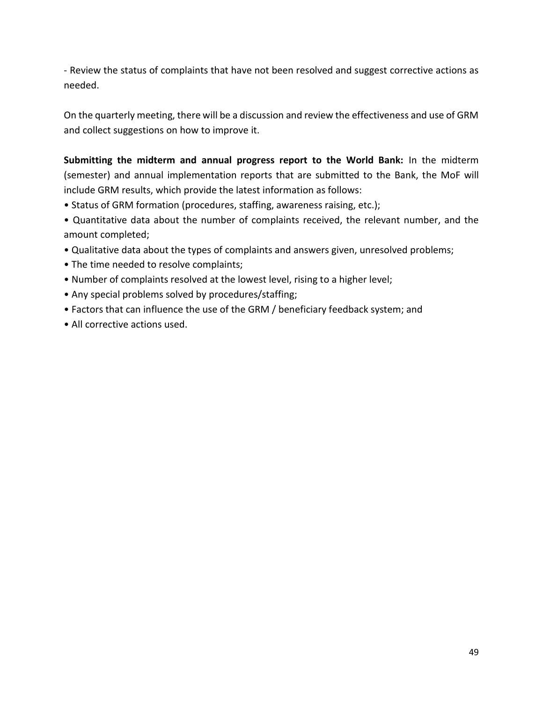- Review the status of complaints that have not been resolved and suggest corrective actions as needed.

On the quarterly meeting, there will be a discussion and review the effectiveness and use of GRM and collect suggestions on how to improve it.

**Submitting the midterm and annual progress report to the World Bank:** In the midterm (semester) and annual implementation reports that are submitted to the Bank, the MoF will include GRM results, which provide the latest information as follows:

- Status of GRM formation (procedures, staffing, awareness raising, etc.);
- Quantitative data about the number of complaints received, the relevant number, and the amount completed;
- Qualitative data about the types of complaints and answers given, unresolved problems;
- The time needed to resolve complaints;
- Number of complaints resolved at the lowest level, rising to a higher level;
- Any special problems solved by procedures/staffing;
- Factors that can influence the use of the GRM / beneficiary feedback system; and
- All corrective actions used.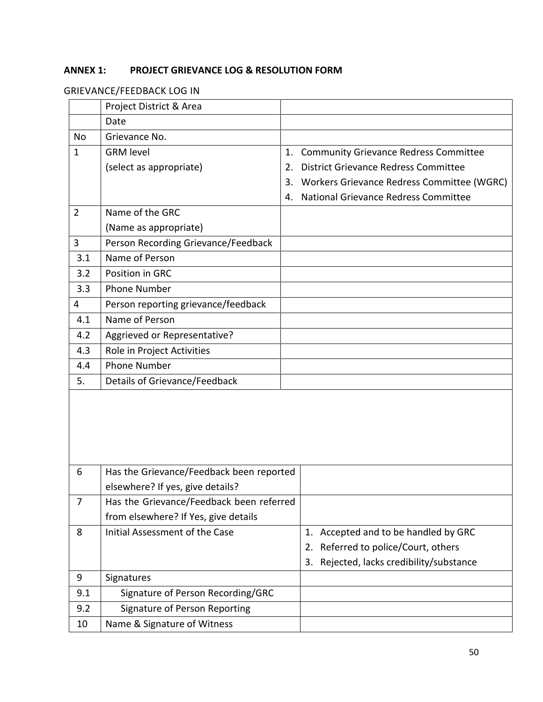# <span id="page-49-0"></span>**ANNEX 1: PROJECT GRIEVANCE LOG & RESOLUTION FORM**

# <span id="page-49-1"></span>GRIEVANCE/FEEDBACK LOG IN

|                | Project District & Area                  |                                                   |
|----------------|------------------------------------------|---------------------------------------------------|
|                | Date                                     |                                                   |
| No             | Grievance No.                            |                                                   |
| $\mathbf{1}$   | <b>GRM level</b>                         | 1. Community Grievance Redress Committee          |
|                | (select as appropriate)                  | <b>District Grievance Redress Committee</b><br>2. |
|                |                                          | 3. Workers Grievance Redress Committee (WGRC)     |
|                |                                          | National Grievance Redress Committee<br>4.        |
| $\overline{2}$ | Name of the GRC                          |                                                   |
|                | (Name as appropriate)                    |                                                   |
| 3              | Person Recording Grievance/Feedback      |                                                   |
| 3.1            | Name of Person                           |                                                   |
| 3.2            | Position in GRC                          |                                                   |
| 3.3            | <b>Phone Number</b>                      |                                                   |
| 4              | Person reporting grievance/feedback      |                                                   |
| 4.1            | Name of Person                           |                                                   |
| 4.2            | Aggrieved or Representative?             |                                                   |
| 4.3            | Role in Project Activities               |                                                   |
| 4.4            | <b>Phone Number</b>                      |                                                   |
| 5.             | <b>Details of Grievance/Feedback</b>     |                                                   |
|                |                                          |                                                   |
|                |                                          |                                                   |
|                |                                          |                                                   |
|                |                                          |                                                   |
|                |                                          |                                                   |
| 6              | Has the Grievance/Feedback been reported |                                                   |
|                | elsewhere? If yes, give details?         |                                                   |
| 7              | Has the Grievance/Feedback been referred |                                                   |
|                | from elsewhere? If Yes, give details     |                                                   |
| 8              | Initial Assessment of the Case           | Accepted and to be handled by GRC<br>1.           |
|                |                                          | Referred to police/Court, others<br>2.            |
|                |                                          | Rejected, lacks credibility/substance<br>3.       |
| 9              | Signatures                               |                                                   |
| 9.1            | Signature of Person Recording/GRC        |                                                   |
| 9.2            | Signature of Person Reporting            |                                                   |
| 10             | Name & Signature of Witness              |                                                   |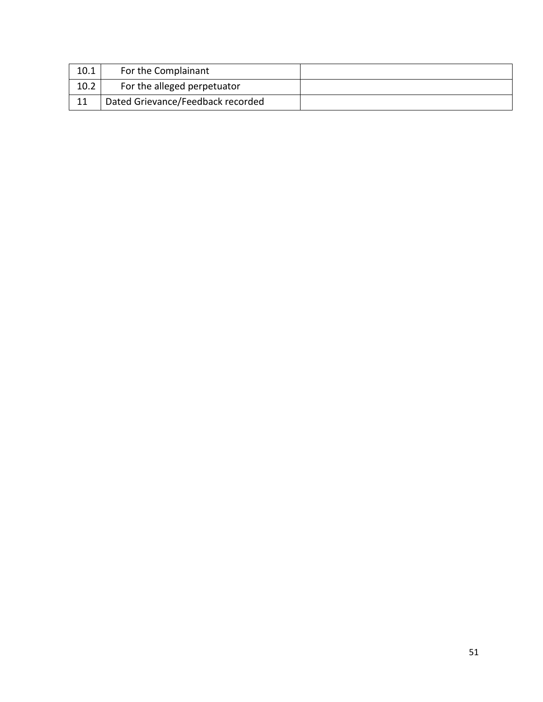| 10.1 | For the Complainant               |  |
|------|-----------------------------------|--|
| 10.2 | For the alleged perpetuator       |  |
|      | Dated Grievance/Feedback recorded |  |